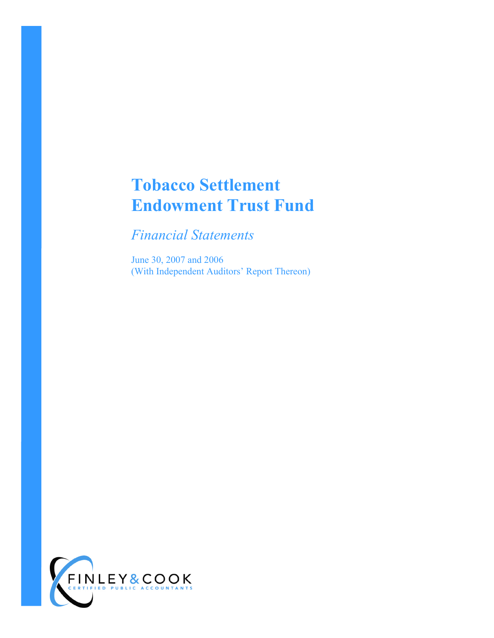# **Tobacco Settlement Endowment Trust Fund**

*Financial Statements* 

June 30, 2007 and 2006 (With Independent Auditors' Report Thereon)

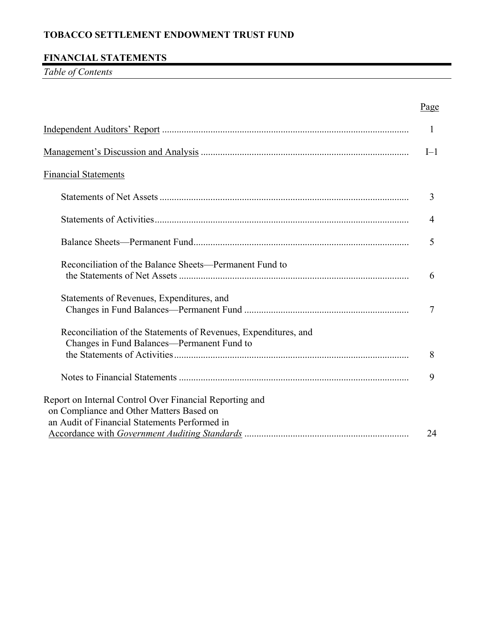# **FINANCIAL STATEMENTS**

*Table of Contents* 

|                                                                                                                                                      | $I-1$ |
|------------------------------------------------------------------------------------------------------------------------------------------------------|-------|
| <b>Financial Statements</b>                                                                                                                          |       |
|                                                                                                                                                      | 3     |
|                                                                                                                                                      | 4     |
|                                                                                                                                                      | 5     |
| Reconciliation of the Balance Sheets—Permanent Fund to                                                                                               | 6     |
| Statements of Revenues, Expenditures, and                                                                                                            | 7     |
| Reconciliation of the Statements of Revenues, Expenditures, and                                                                                      |       |
| Changes in Fund Balances—Permanent Fund to                                                                                                           | 8     |
|                                                                                                                                                      | 9     |
| Report on Internal Control Over Financial Reporting and<br>on Compliance and Other Matters Based on<br>an Audit of Financial Statements Performed in |       |
|                                                                                                                                                      | 24    |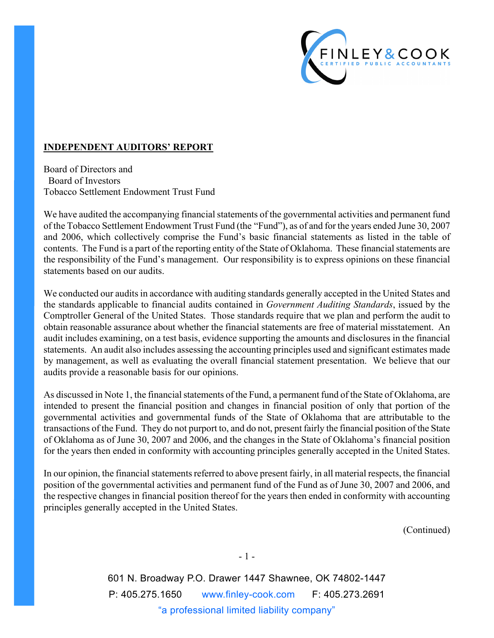

#### **INDEPENDENT AUDITORS' REPORT**

Board of Directors and Board of Investors Tobacco Settlement Endowment Trust Fund

We have audited the accompanying financial statements of the governmental activities and permanent fund of the Tobacco Settlement Endowment Trust Fund (the "Fund"), as of and for the years ended June 30, 2007 and 2006, which collectively comprise the Fund's basic financial statements as listed in the table of contents. The Fund is a part of the reporting entity of the State of Oklahoma. These financial statements are the responsibility of the Fund's management. Our responsibility is to express opinions on these financial statements based on our audits.

We conducted our audits in accordance with auditing standards generally accepted in the United States and the standards applicable to financial audits contained in *Government Auditing Standards*, issued by the Comptroller General of the United States. Those standards require that we plan and perform the audit to obtain reasonable assurance about whether the financial statements are free of material misstatement. An audit includes examining, on a test basis, evidence supporting the amounts and disclosures in the financial statements. An audit also includes assessing the accounting principles used and significant estimates made by management, as well as evaluating the overall financial statement presentation. We believe that our audits provide a reasonable basis for our opinions.

As discussed in Note 1, the financial statements of the Fund, a permanent fund of the State of Oklahoma, are intended to present the financial position and changes in financial position of only that portion of the governmental activities and governmental funds of the State of Oklahoma that are attributable to the transactions of the Fund. They do not purport to, and do not, present fairly the financial position of the State of Oklahoma as of June 30, 2007 and 2006, and the changes in the State of Oklahoma's financial position for the years then ended in conformity with accounting principles generally accepted in the United States.

In our opinion, the financial statements referred to above present fairly, in all material respects, the financial position of the governmental activities and permanent fund of the Fund as of June 30, 2007 and 2006, and the respective changes in financial position thereof for the years then ended in conformity with accounting principles generally accepted in the United States.

(Continued)

- 1 -

601 N. Broadway P.O. Drawer 1447 Shawnee, OK 74802-1447 P: 405.275.1650 www.finley-cook.com F: 405.273.2691 "a professional limited liability company"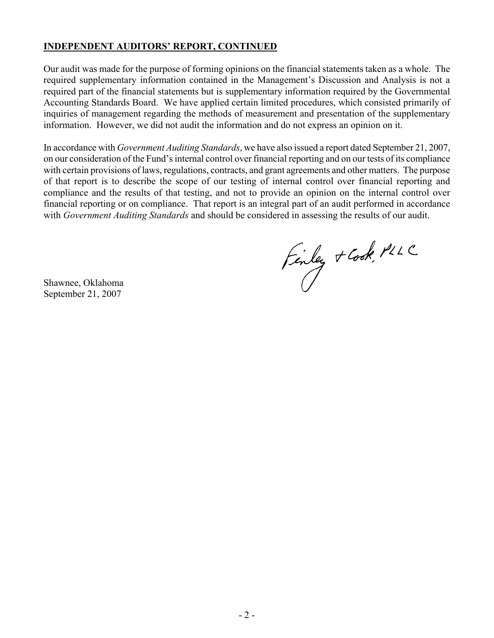# **INDEPENDENT AUDITORS' REPORT, CONTINUED**

Our audit was made for the purpose of forming opinions on the financial statements taken as a whole. The required supplementary information contained in the Management's Discussion and Analysis is not a required part of the financial statements but is supplementary information required by the Governmental Accounting Standards Board. We have applied certain limited procedures, which consisted primarily of inquiries of management regarding the methods of measurement and presentation of the supplementary information. However, we did not audit the information and do not express an opinion on it.

In accordance with *Government Auditing Standards*, we have also issued a report dated September 21, 2007, on our consideration of the Fund's internal control over financial reporting and on our tests of its compliance with certain provisions of laws, regulations, contracts, and grant agreements and other matters. The purpose of that report is to describe the scope of our testing of internal control over financial reporting and compliance and the results of that testing, and not to provide an opinion on the internal control over financial reporting or on compliance. That report is an integral part of an audit performed in accordance with *Government Auditing Standards* and should be considered in assessing the results of our audit.

Shawnee, Oklahoma September 21, 2007

Finley + Cook, PLLC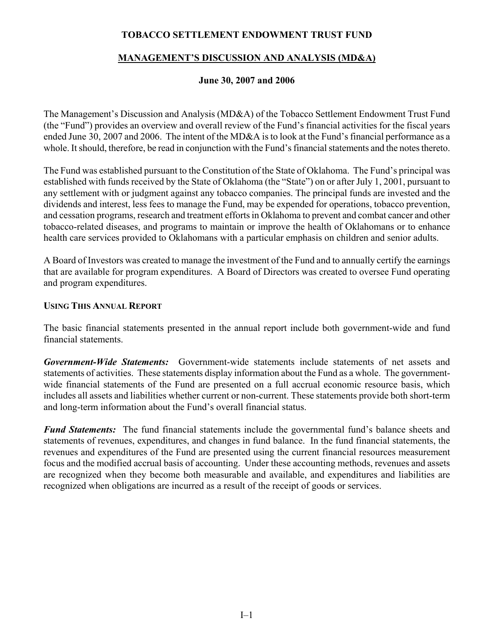# **MANAGEMENT'S DISCUSSION AND ANALYSIS (MD&A)**

# **June 30, 2007 and 2006**

The Management's Discussion and Analysis (MD&A) of the Tobacco Settlement Endowment Trust Fund (the "Fund") provides an overview and overall review of the Fund's financial activities for the fiscal years ended June 30, 2007 and 2006. The intent of the MD&A is to look at the Fund's financial performance as a whole. It should, therefore, be read in conjunction with the Fund's financial statements and the notes thereto.

The Fund was established pursuant to the Constitution of the State of Oklahoma. The Fund's principal was established with funds received by the State of Oklahoma (the "State") on or after July 1, 2001, pursuant to any settlement with or judgment against any tobacco companies. The principal funds are invested and the dividends and interest, less fees to manage the Fund, may be expended for operations, tobacco prevention, and cessation programs, research and treatment efforts in Oklahoma to prevent and combat cancer and other tobacco-related diseases, and programs to maintain or improve the health of Oklahomans or to enhance health care services provided to Oklahomans with a particular emphasis on children and senior adults.

A Board of Investors was created to manage the investment of the Fund and to annually certify the earnings that are available for program expenditures. A Board of Directors was created to oversee Fund operating and program expenditures.

#### **USING THIS ANNUAL REPORT**

The basic financial statements presented in the annual report include both government-wide and fund financial statements.

*Government-Wide Statements:* Government-wide statements include statements of net assets and statements of activities. These statements display information about the Fund as a whole. The governmentwide financial statements of the Fund are presented on a full accrual economic resource basis, which includes all assets and liabilities whether current or non-current. These statements provide both short-term and long-term information about the Fund's overall financial status.

*Fund Statements:* The fund financial statements include the governmental fund's balance sheets and statements of revenues, expenditures, and changes in fund balance. In the fund financial statements, the revenues and expenditures of the Fund are presented using the current financial resources measurement focus and the modified accrual basis of accounting. Under these accounting methods, revenues and assets are recognized when they become both measurable and available, and expenditures and liabilities are recognized when obligations are incurred as a result of the receipt of goods or services.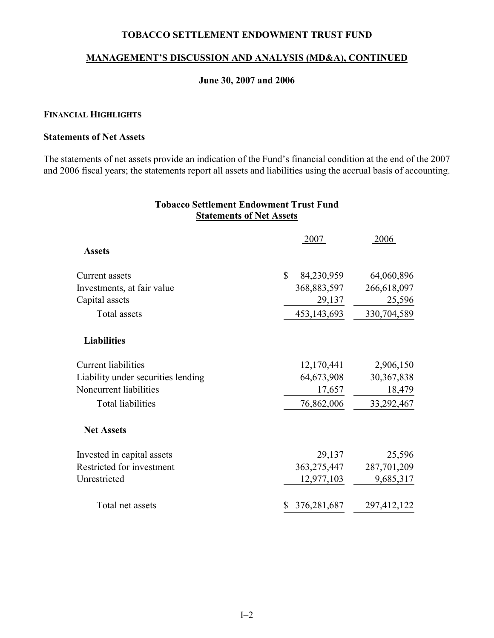#### **MANAGEMENT'S DISCUSSION AND ANALYSIS (MD&A), CONTINUED**

#### **June 30, 2007 and 2006**

#### **FINANCIAL HIGHLIGHTS**

#### **Statements of Net Assets**

The statements of net assets provide an indication of the Fund's financial condition at the end of the 2007 and 2006 fiscal years; the statements report all assets and liabilities using the accrual basis of accounting.

> **Tobacco Settlement Endowment Trust Fund Statements of Net Assets**

| <b>Assets</b>                      | 2007             | 2006        |
|------------------------------------|------------------|-------------|
|                                    |                  |             |
| Current assets                     | \$<br>84,230,959 | 64,060,896  |
| Investments, at fair value         | 368,883,597      | 266,618,097 |
| Capital assets                     | 29,137           | 25,596      |
| Total assets                       | 453,143,693      | 330,704,589 |
| <b>Liabilities</b>                 |                  |             |
| <b>Current liabilities</b>         | 12,170,441       | 2,906,150   |
| Liability under securities lending | 64,673,908       | 30,367,838  |
| Noncurrent liabilities             | 17,657           | 18,479      |
| Total liabilities                  | 76,862,006       | 33,292,467  |
| <b>Net Assets</b>                  |                  |             |
| Invested in capital assets         | 29,137           | 25,596      |
| Restricted for investment          | 363,275,447      | 287,701,209 |
| Unrestricted                       | 12,977,103       | 9,685,317   |
| Total net assets                   | 376,281,687      | 297,412,122 |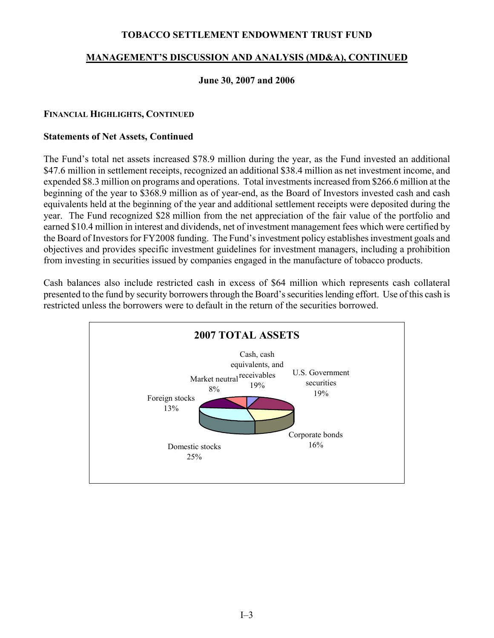#### **MANAGEMENT'S DISCUSSION AND ANALYSIS (MD&A), CONTINUED**

#### **June 30, 2007 and 2006**

#### **FINANCIAL HIGHLIGHTS, CONTINUED**

#### **Statements of Net Assets, Continued**

The Fund's total net assets increased \$78.9 million during the year, as the Fund invested an additional \$47.6 million in settlement receipts, recognized an additional \$38.4 million as net investment income, and expended \$8.3 million on programs and operations. Total investments increased from \$266.6 million at the beginning of the year to \$368.9 million as of year-end, as the Board of Investors invested cash and cash equivalents held at the beginning of the year and additional settlement receipts were deposited during the year. The Fund recognized \$28 million from the net appreciation of the fair value of the portfolio and earned \$10.4 million in interest and dividends, net of investment management fees which were certified by the Board of Investors for FY2008 funding. The Fund's investment policy establishes investment goals and objectives and provides specific investment guidelines for investment managers, including a prohibition from investing in securities issued by companies engaged in the manufacture of tobacco products.

Cash balances also include restricted cash in excess of \$64 million which represents cash collateral presented to the fund by security borrowers through the Board's securities lending effort. Use of this cash is restricted unless the borrowers were to default in the return of the securities borrowed.

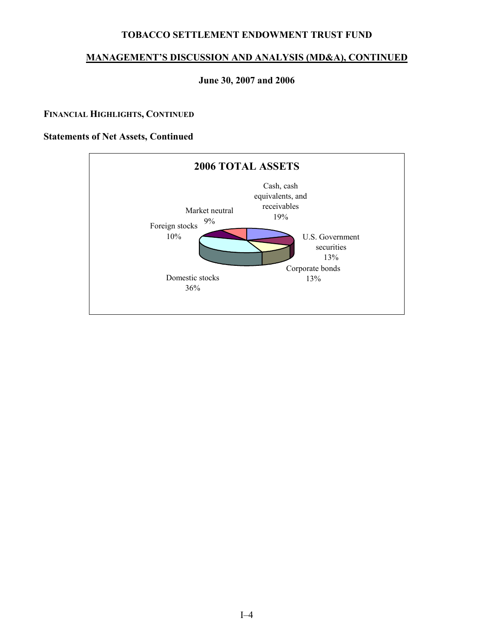## **MANAGEMENT'S DISCUSSION AND ANALYSIS (MD&A), CONTINUED**

#### **June 30, 2007 and 2006**

#### **FINANCIAL HIGHLIGHTS, CONTINUED**

#### **Statements of Net Assets, Continued**

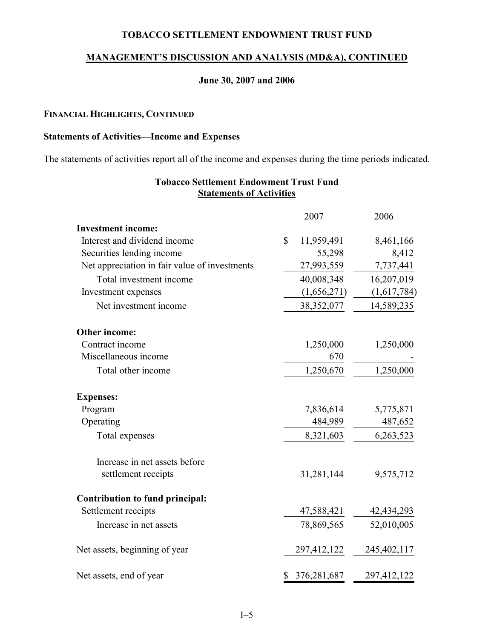# **MANAGEMENT'S DISCUSSION AND ANALYSIS (MD&A), CONTINUED**

#### **June 30, 2007 and 2006**

#### **FINANCIAL HIGHLIGHTS, CONTINUED**

## **Statements of Activities—Income and Expenses**

The statements of activities report all of the income and expenses during the time periods indicated.

|                                               | 2007              | 2006          |
|-----------------------------------------------|-------------------|---------------|
| <b>Investment income:</b>                     |                   |               |
| Interest and dividend income                  | \$<br>11,959,491  | 8,461,166     |
| Securities lending income                     | 55,298            | 8,412         |
| Net appreciation in fair value of investments | 27,993,559        | 7,737,441     |
| Total investment income                       | 40,008,348        | 16,207,019    |
| Investment expenses                           | (1,656,271)       | (1,617,784)   |
| Net investment income                         | 38,352,077        | 14,589,235    |
| Other income:                                 |                   |               |
| Contract income                               | 1,250,000         | 1,250,000     |
| Miscellaneous income                          | 670               |               |
| Total other income                            | 1,250,670         | 1,250,000     |
| <b>Expenses:</b>                              |                   |               |
| Program                                       | 7,836,614         | 5,775,871     |
| Operating                                     | 484,989           | 487,652       |
| Total expenses                                | 8,321,603         | 6,263,523     |
| Increase in net assets before                 |                   |               |
| settlement receipts                           | 31,281,144        | 9,575,712     |
| Contribution to fund principal:               |                   |               |
| Settlement receipts                           | 47,588,421        | 42, 434, 293  |
| Increase in net assets                        | 78,869,565        | 52,010,005    |
| Net assets, beginning of year                 | 297,412,122       | 245, 402, 117 |
| Net assets, end of year                       | \$<br>376,281,687 | 297,412,122   |

## **Tobacco Settlement Endowment Trust Fund Statements of Activities**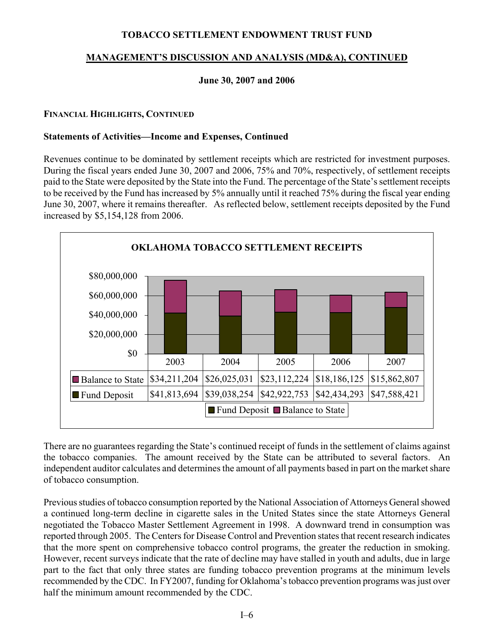# **MANAGEMENT'S DISCUSSION AND ANALYSIS (MD&A), CONTINUED**

## **June 30, 2007 and 2006**

#### **FINANCIAL HIGHLIGHTS, CONTINUED**

#### **Statements of Activities—Income and Expenses, Continued**

Revenues continue to be dominated by settlement receipts which are restricted for investment purposes. During the fiscal years ended June 30, 2007 and 2006, 75% and 70%, respectively, of settlement receipts paid to the State were deposited by the State into the Fund. The percentage of the State's settlement receipts to be received by the Fund has increased by 5% annually until it reached 75% during the fiscal year ending June 30, 2007, where it remains thereafter. As reflected below, settlement receipts deposited by the Fund increased by \$5,154,128 from 2006.



There are no guarantees regarding the State's continued receipt of funds in the settlement of claims against the tobacco companies. The amount received by the State can be attributed to several factors. An independent auditor calculates and determines the amount of all payments based in part on the market share of tobacco consumption.

Previous studies of tobacco consumption reported by the National Association of Attorneys General showed a continued long-term decline in cigarette sales in the United States since the state Attorneys General negotiated the Tobacco Master Settlement Agreement in 1998. A downward trend in consumption was reported through 2005. The Centers for Disease Control and Prevention states that recent research indicates that the more spent on comprehensive tobacco control programs, the greater the reduction in smoking. However, recent surveys indicate that the rate of decline may have stalled in youth and adults, due in large part to the fact that only three states are funding tobacco prevention programs at the minimum levels recommended by the CDC. In FY2007, funding for Oklahoma's tobacco prevention programs was just over half the minimum amount recommended by the CDC.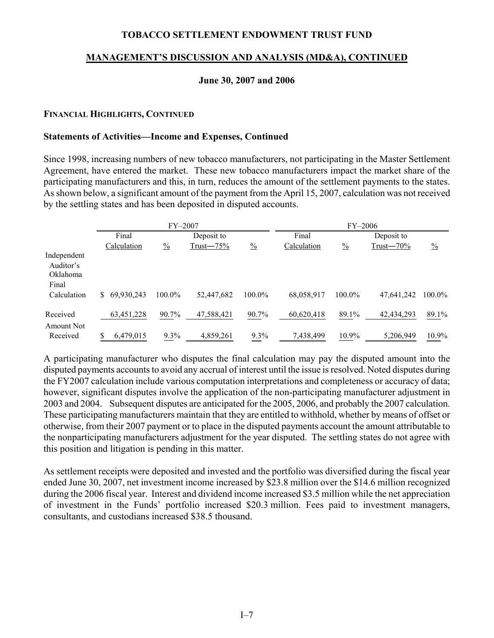#### **MANAGEMENT'S DISCUSSION AND ANALYSIS (MD&A), CONTINUED**

#### **June 30, 2007 and 2006**

#### **FINANCIAL HIGHLIGHTS, CONTINUED**

#### **Statements of Activities—Income and Expenses, Continued**

Since 1998, increasing numbers of new tobacco manufacturers, not participating in the Master Settlement Agreement, have entered the market. These new tobacco manufacturers impact the market share of the participating manufacturers and this, in turn, reduces the amount of the settlement payments to the states. As shown below, a significant amount of the payment from the April 15, 2007, calculation was not received by the settling states and has been deposited in disputed accounts.

|                                               |                  | $FY-2007$     |              |               |             | $FY-2006$     |               |               |
|-----------------------------------------------|------------------|---------------|--------------|---------------|-------------|---------------|---------------|---------------|
|                                               | Final            |               | Deposit to   |               | Final       |               | Deposit to    |               |
|                                               | Calculation      | $\frac{0}{0}$ | Trust $-75%$ | $\frac{0}{0}$ | Calculation | $\frac{0}{0}$ | Trust— $70\%$ | $\frac{0}{0}$ |
| Independent<br>Auditor's<br>Oklahoma<br>Final |                  |               |              |               |             |               |               |               |
| Calculation                                   | 69,930,243<br>S. | $100.0\%$     | 52,447,682   | 100.0%        | 68,058,917  | 100.0%        | 47,641,242    | 100.0%        |
| Received                                      | 63,451,228       | 90.7%         | 47,588,421   | 90.7%         | 60,620,418  | 89.1%         | 42,434,293    | 89.1%         |
| Amount Not<br>Received                        | 6,479,015        | $9.3\%$       | 4,859,261    | $9.3\%$       | 7,438,499   | $10.9\%$      | 5,206,949     | $10.9\%$      |

A participating manufacturer who disputes the final calculation may pay the disputed amount into the disputed payments accounts to avoid any accrual of interest until the issue is resolved. Noted disputes during the FY2007 calculation include various computation interpretations and completeness or accuracy of data; however, significant disputes involve the application of the non-participating manufacturer adjustment in 2003 and 2004. Subsequent disputes are anticipated for the 2005, 2006, and probably the 2007 calculation. These participating manufacturers maintain that they are entitled to withhold, whether by means of offset or otherwise, from their 2007 payment or to place in the disputed payments account the amount attributable to the nonparticipating manufacturers adjustment for the year disputed. The settling states do not agree with this position and litigation is pending in this matter.

As settlement receipts were deposited and invested and the portfolio was diversified during the fiscal year ended June 30, 2007, net investment income increased by \$23.8 million over the \$14.6 million recognized during the 2006 fiscal year. Interest and dividend income increased \$3.5 million while the net appreciation of investment in the Funds' portfolio increased \$20.3 million. Fees paid to investment managers, consultants, and custodians increased \$38.5 thousand.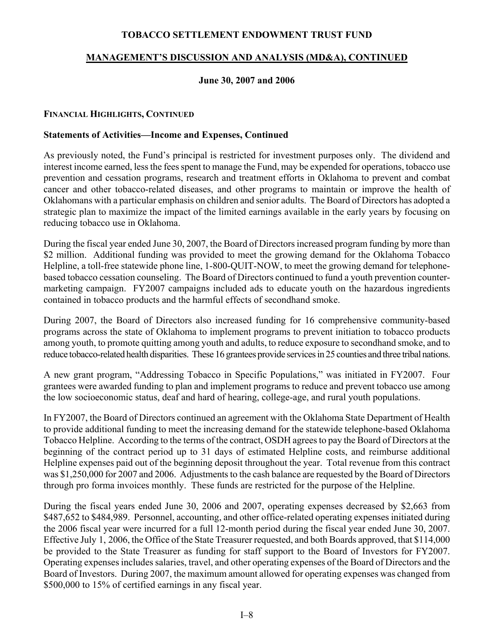# **MANAGEMENT'S DISCUSSION AND ANALYSIS (MD&A), CONTINUED**

#### **June 30, 2007 and 2006**

#### **FINANCIAL HIGHLIGHTS, CONTINUED**

#### **Statements of Activities—Income and Expenses, Continued**

As previously noted, the Fund's principal is restricted for investment purposes only. The dividend and interest income earned, less the fees spent to manage the Fund, may be expended for operations, tobacco use prevention and cessation programs, research and treatment efforts in Oklahoma to prevent and combat cancer and other tobacco-related diseases, and other programs to maintain or improve the health of Oklahomans with a particular emphasis on children and senior adults. The Board of Directors has adopted a strategic plan to maximize the impact of the limited earnings available in the early years by focusing on reducing tobacco use in Oklahoma.

During the fiscal year ended June 30, 2007, the Board of Directors increased program funding by more than \$2 million. Additional funding was provided to meet the growing demand for the Oklahoma Tobacco Helpline, a toll-free statewide phone line, 1-800-QUIT-NOW, to meet the growing demand for telephonebased tobacco cessation counseling. The Board of Directors continued to fund a youth prevention countermarketing campaign. FY2007 campaigns included ads to educate youth on the hazardous ingredients contained in tobacco products and the harmful effects of secondhand smoke.

During 2007, the Board of Directors also increased funding for 16 comprehensive community-based programs across the state of Oklahoma to implement programs to prevent initiation to tobacco products among youth, to promote quitting among youth and adults, to reduce exposure to secondhand smoke, and to reduce tobacco-related health disparities. These 16 grantees provide services in 25 counties and three tribal nations.

A new grant program, "Addressing Tobacco in Specific Populations," was initiated in FY2007. Four grantees were awarded funding to plan and implement programs to reduce and prevent tobacco use among the low socioeconomic status, deaf and hard of hearing, college-age, and rural youth populations.

In FY2007, the Board of Directors continued an agreement with the Oklahoma State Department of Health to provide additional funding to meet the increasing demand for the statewide telephone-based Oklahoma Tobacco Helpline. According to the terms of the contract, OSDH agrees to pay the Board of Directors at the beginning of the contract period up to 31 days of estimated Helpline costs, and reimburse additional Helpline expenses paid out of the beginning deposit throughout the year. Total revenue from this contract was \$1,250,000 for 2007 and 2006. Adjustments to the cash balance are requested by the Board of Directors through pro forma invoices monthly. These funds are restricted for the purpose of the Helpline.

During the fiscal years ended June 30, 2006 and 2007, operating expenses decreased by \$2,663 from \$487,652 to \$484,989. Personnel, accounting, and other office-related operating expenses initiated during the 2006 fiscal year were incurred for a full 12-month period during the fiscal year ended June 30, 2007. Effective July 1, 2006, the Office of the State Treasurer requested, and both Boards approved, that \$114,000 be provided to the State Treasurer as funding for staff support to the Board of Investors for FY2007. Operating expenses includes salaries, travel, and other operating expenses of the Board of Directors and the Board of Investors. During 2007, the maximum amount allowed for operating expenses was changed from \$500,000 to 15% of certified earnings in any fiscal year.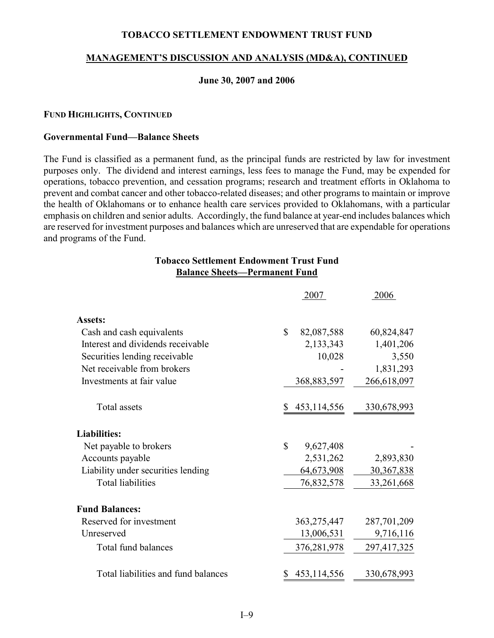#### **MANAGEMENT'S DISCUSSION AND ANALYSIS (MD&A), CONTINUED**

#### **June 30, 2007 and 2006**

#### **FUND HIGHLIGHTS, CONTINUED**

#### **Governmental Fund—Balance Sheets**

The Fund is classified as a permanent fund, as the principal funds are restricted by law for investment purposes only. The dividend and interest earnings, less fees to manage the Fund, may be expended for operations, tobacco prevention, and cessation programs; research and treatment efforts in Oklahoma to prevent and combat cancer and other tobacco-related diseases; and other programs to maintain or improve the health of Oklahomans or to enhance health care services provided to Oklahomans, with a particular emphasis on children and senior adults. Accordingly, the fund balance at year-end includes balances which are reserved for investment purposes and balances which are unreserved that are expendable for operations and programs of the Fund.

# **Tobacco Settlement Endowment Trust Fund Balance Sheets—Permanent Fund**

|                                     |              | 2007          | 2006        |
|-------------------------------------|--------------|---------------|-------------|
| Assets:                             |              |               |             |
| Cash and cash equivalents           | \$           | 82,087,588    | 60,824,847  |
| Interest and dividends receivable   |              | 2,133,343     | 1,401,206   |
| Securities lending receivable       |              | 10,028        | 3,550       |
| Net receivable from brokers         |              |               | 1,831,293   |
| Investments at fair value           |              | 368,883,597   | 266,618,097 |
| Total assets                        | \$           | 453,114,556   | 330,678,993 |
| <b>Liabilities:</b>                 |              |               |             |
| Net payable to brokers              | $\mathbb{S}$ | 9,627,408     |             |
| Accounts payable                    |              | 2,531,262     | 2,893,830   |
| Liability under securities lending  |              | 64,673,908    | 30,367,838  |
| <b>Total liabilities</b>            |              | 76,832,578    | 33,261,668  |
| <b>Fund Balances:</b>               |              |               |             |
| Reserved for investment             |              | 363, 275, 447 | 287,701,209 |
| Unreserved                          |              | 13,006,531    | 9,716,116   |
| Total fund balances                 |              | 376,281,978   | 297,417,325 |
| Total liabilities and fund balances | \$           | 453,114,556   | 330,678,993 |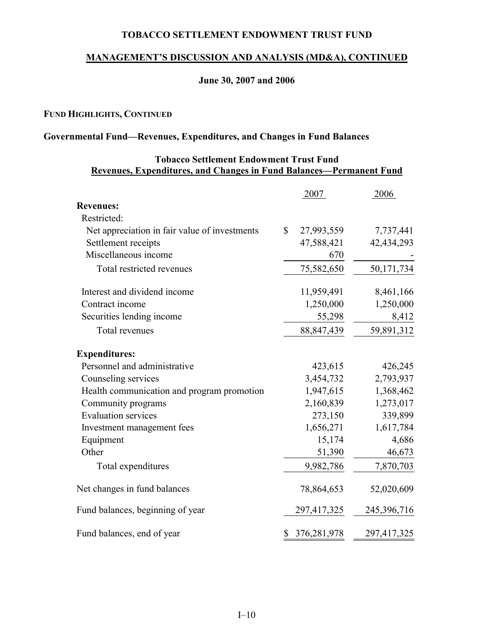# **MANAGEMENT'S DISCUSSION AND ANALYSIS (MD&A), CONTINUED**

#### **June 30, 2007 and 2006**

#### **FUND HIGHLIGHTS, CONTINUED**

## **Governmental Fund—Revenues, Expenditures, and Changes in Fund Balances**

#### **Tobacco Settlement Endowment Trust Fund Revenues, Expenditures, and Changes in Fund Balances—Permanent Fund**

|                                               | 2007                       | 2006        |
|-----------------------------------------------|----------------------------|-------------|
| <b>Revenues:</b>                              |                            |             |
| Restricted:                                   |                            |             |
| Net appreciation in fair value of investments | $\mathbb{S}$<br>27,993,559 | 7,737,441   |
| Settlement receipts                           | 47,588,421                 | 42,434,293  |
| Miscellaneous income                          | 670                        |             |
| Total restricted revenues                     | 75,582,650                 | 50,171,734  |
| Interest and dividend income                  | 11,959,491                 | 8,461,166   |
| Contract income                               | 1,250,000                  | 1,250,000   |
| Securities lending income                     | 55,298                     | 8,412       |
| Total revenues                                | 88, 847, 439               | 59,891,312  |
| <b>Expenditures:</b>                          |                            |             |
| Personnel and administrative                  | 423,615                    | 426,245     |
| Counseling services                           | 3,454,732                  | 2,793,937   |
| Health communication and program promotion    | 1,947,615                  | 1,368,462   |
| Community programs                            | 2,160,839                  | 1,273,017   |
| <b>Evaluation services</b>                    | 273,150                    | 339,899     |
| Investment management fees                    | 1,656,271                  | 1,617,784   |
| Equipment                                     | 15,174                     | 4,686       |
| Other                                         | 51,390                     | 46,673      |
| Total expenditures                            | 9,982,786                  | 7,870,703   |
| Net changes in fund balances                  | 78,864,653                 | 52,020,609  |
| Fund balances, beginning of year              | 297,417,325                | 245,396,716 |
| Fund balances, end of year                    | 376,281,978<br>\$          | 297,417,325 |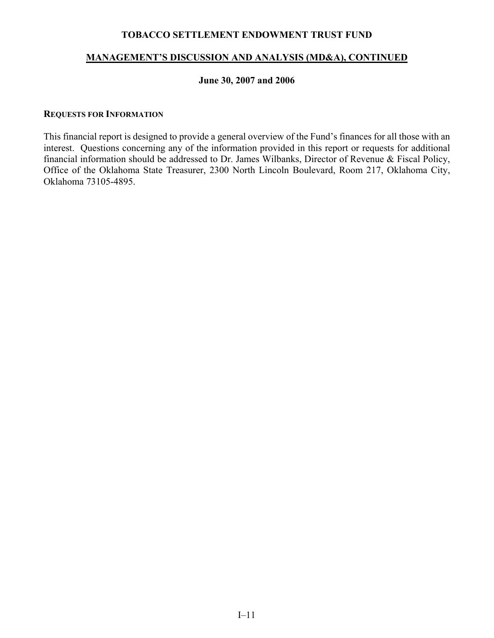#### **MANAGEMENT'S DISCUSSION AND ANALYSIS (MD&A), CONTINUED**

#### **June 30, 2007 and 2006**

#### **REQUESTS FOR INFORMATION**

This financial report is designed to provide a general overview of the Fund's finances for all those with an interest. Questions concerning any of the information provided in this report or requests for additional financial information should be addressed to Dr. James Wilbanks, Director of Revenue & Fiscal Policy, Office of the Oklahoma State Treasurer, 2300 North Lincoln Boulevard, Room 217, Oklahoma City, Oklahoma 73105-4895.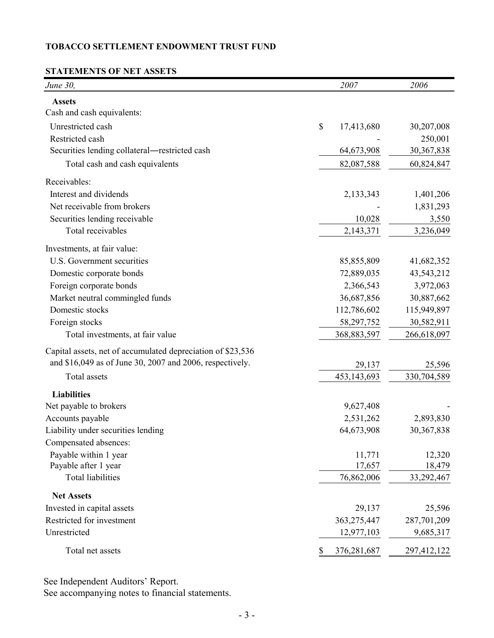#### **STATEMENTS OF NET ASSETS**

| June 30,                                                    | 2007               | 2006        |
|-------------------------------------------------------------|--------------------|-------------|
| <b>Assets</b>                                               |                    |             |
| Cash and cash equivalents:                                  |                    |             |
| Unrestricted cash                                           | $\$$<br>17,413,680 | 30,207,008  |
| Restricted cash                                             |                    | 250,001     |
| Securities lending collateral—restricted cash               | 64,673,908         | 30,367,838  |
| Total cash and cash equivalents                             | 82,087,588         | 60,824,847  |
| Receivables:                                                |                    |             |
| Interest and dividends                                      | 2,133,343          | 1,401,206   |
| Net receivable from brokers                                 |                    | 1,831,293   |
| Securities lending receivable                               | 10,028             | 3,550       |
| Total receivables                                           | 2,143,371          | 3,236,049   |
| Investments, at fair value:                                 |                    |             |
| U.S. Government securities                                  | 85,855,809         | 41,682,352  |
| Domestic corporate bonds                                    | 72,889,035         | 43,543,212  |
| Foreign corporate bonds                                     | 2,366,543          | 3,972,063   |
| Market neutral commingled funds                             | 36,687,856         | 30,887,662  |
| Domestic stocks                                             | 112,786,602        | 115,949,897 |
| Foreign stocks                                              | 58,297,752         | 30,582,911  |
| Total investments, at fair value                            | 368,883,597        | 266,618,097 |
| Capital assets, net of accumulated depreciation of \$23,536 |                    |             |
| and \$16,049 as of June 30, 2007 and 2006, respectively.    | 29,137             | 25,596      |
| Total assets                                                | 453,143,693        | 330,704,589 |
| <b>Liabilities</b>                                          |                    |             |
| Net payable to brokers                                      | 9,627,408          |             |
| Accounts payable                                            | 2,531,262          | 2,893,830   |
| Liability under securities lending                          | 64,673,908         | 30,367,838  |
| Compensated absences:                                       |                    |             |
| Payable within 1 year                                       | 11,771             | 12,320      |
| Payable after 1 year                                        | 17,657             | 18,479      |
| <b>Total liabilities</b>                                    | 76,862,006         | 33,292,467  |
| <b>Net Assets</b>                                           |                    |             |
| Invested in capital assets                                  | 29,137             | 25,596      |
| Restricted for investment                                   | 363, 275, 447      | 287,701,209 |
| Unrestricted                                                | 12,977,103         | 9,685,317   |
| Total net assets                                            | \$<br>376,281,687  | 297,412,122 |

See Independent Auditors' Report. See accompanying notes to financial statements.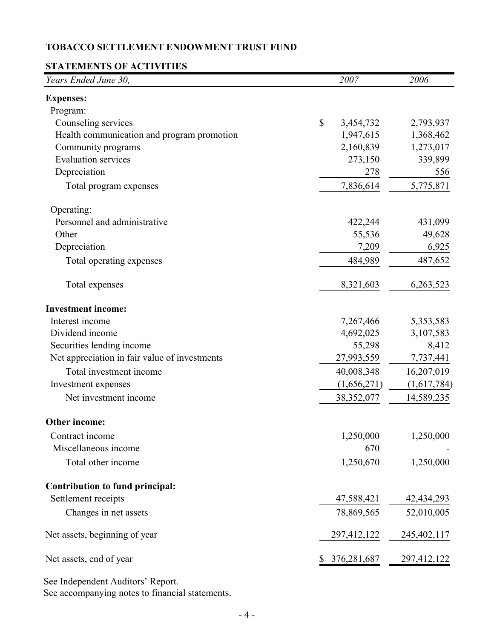# **STATEMENTS OF ACTIVITIES**

| <b>Expenses:</b><br>Program:<br>\$<br>Counseling services<br>3,454,732<br>2,793,937<br>Health communication and program promotion<br>1,947,615<br>1,368,462<br>2,160,839<br>1,273,017<br>Community programs<br><b>Evaluation services</b><br>273,150<br>339,899<br>Depreciation<br>278<br>556<br>7,836,614<br>5,775,871<br>Total program expenses<br>Operating:<br>Personnel and administrative<br>422,244<br>431,099<br>49,628<br>Other<br>55,536<br>Depreciation<br>7,209<br>6,925<br>484,989<br>487,652<br>Total operating expenses<br>8,321,603<br>Total expenses<br>6,263,523<br>Interest income<br>5,353,583<br>7,267,466<br>Dividend income<br>4,692,025<br>3,107,583<br>55,298<br>8,412<br>Securities lending income<br>Net appreciation in fair value of investments<br>27,993,559<br>7,737,441<br>Total investment income<br>16,207,019<br>40,008,348<br>(1,656,271)<br>(1,617,784)<br>Investment expenses<br>14,589,235<br>Net investment income<br>38,352,077<br>1,250,000<br>1,250,000<br>Contract income<br>Miscellaneous income<br>670<br>Total other income<br>1,250,670<br>1,250,000<br>Settlement receipts<br>42, 434, 293<br>47,588,421<br>78,869,565<br>52,010,005<br>Changes in net assets<br>297,412,122<br>245, 402, 117<br>376, 281, 687<br>297,412,122<br>\$ | Years Ended June 30,            | 2007 | 2006 |
|---------------------------------------------------------------------------------------------------------------------------------------------------------------------------------------------------------------------------------------------------------------------------------------------------------------------------------------------------------------------------------------------------------------------------------------------------------------------------------------------------------------------------------------------------------------------------------------------------------------------------------------------------------------------------------------------------------------------------------------------------------------------------------------------------------------------------------------------------------------------------------------------------------------------------------------------------------------------------------------------------------------------------------------------------------------------------------------------------------------------------------------------------------------------------------------------------------------------------------------------------------------------------------------|---------------------------------|------|------|
|                                                                                                                                                                                                                                                                                                                                                                                                                                                                                                                                                                                                                                                                                                                                                                                                                                                                                                                                                                                                                                                                                                                                                                                                                                                                                       |                                 |      |      |
|                                                                                                                                                                                                                                                                                                                                                                                                                                                                                                                                                                                                                                                                                                                                                                                                                                                                                                                                                                                                                                                                                                                                                                                                                                                                                       |                                 |      |      |
|                                                                                                                                                                                                                                                                                                                                                                                                                                                                                                                                                                                                                                                                                                                                                                                                                                                                                                                                                                                                                                                                                                                                                                                                                                                                                       |                                 |      |      |
|                                                                                                                                                                                                                                                                                                                                                                                                                                                                                                                                                                                                                                                                                                                                                                                                                                                                                                                                                                                                                                                                                                                                                                                                                                                                                       |                                 |      |      |
|                                                                                                                                                                                                                                                                                                                                                                                                                                                                                                                                                                                                                                                                                                                                                                                                                                                                                                                                                                                                                                                                                                                                                                                                                                                                                       |                                 |      |      |
|                                                                                                                                                                                                                                                                                                                                                                                                                                                                                                                                                                                                                                                                                                                                                                                                                                                                                                                                                                                                                                                                                                                                                                                                                                                                                       |                                 |      |      |
|                                                                                                                                                                                                                                                                                                                                                                                                                                                                                                                                                                                                                                                                                                                                                                                                                                                                                                                                                                                                                                                                                                                                                                                                                                                                                       |                                 |      |      |
|                                                                                                                                                                                                                                                                                                                                                                                                                                                                                                                                                                                                                                                                                                                                                                                                                                                                                                                                                                                                                                                                                                                                                                                                                                                                                       |                                 |      |      |
|                                                                                                                                                                                                                                                                                                                                                                                                                                                                                                                                                                                                                                                                                                                                                                                                                                                                                                                                                                                                                                                                                                                                                                                                                                                                                       |                                 |      |      |
|                                                                                                                                                                                                                                                                                                                                                                                                                                                                                                                                                                                                                                                                                                                                                                                                                                                                                                                                                                                                                                                                                                                                                                                                                                                                                       |                                 |      |      |
|                                                                                                                                                                                                                                                                                                                                                                                                                                                                                                                                                                                                                                                                                                                                                                                                                                                                                                                                                                                                                                                                                                                                                                                                                                                                                       |                                 |      |      |
|                                                                                                                                                                                                                                                                                                                                                                                                                                                                                                                                                                                                                                                                                                                                                                                                                                                                                                                                                                                                                                                                                                                                                                                                                                                                                       |                                 |      |      |
|                                                                                                                                                                                                                                                                                                                                                                                                                                                                                                                                                                                                                                                                                                                                                                                                                                                                                                                                                                                                                                                                                                                                                                                                                                                                                       |                                 |      |      |
|                                                                                                                                                                                                                                                                                                                                                                                                                                                                                                                                                                                                                                                                                                                                                                                                                                                                                                                                                                                                                                                                                                                                                                                                                                                                                       |                                 |      |      |
|                                                                                                                                                                                                                                                                                                                                                                                                                                                                                                                                                                                                                                                                                                                                                                                                                                                                                                                                                                                                                                                                                                                                                                                                                                                                                       | <b>Investment income:</b>       |      |      |
|                                                                                                                                                                                                                                                                                                                                                                                                                                                                                                                                                                                                                                                                                                                                                                                                                                                                                                                                                                                                                                                                                                                                                                                                                                                                                       |                                 |      |      |
|                                                                                                                                                                                                                                                                                                                                                                                                                                                                                                                                                                                                                                                                                                                                                                                                                                                                                                                                                                                                                                                                                                                                                                                                                                                                                       |                                 |      |      |
|                                                                                                                                                                                                                                                                                                                                                                                                                                                                                                                                                                                                                                                                                                                                                                                                                                                                                                                                                                                                                                                                                                                                                                                                                                                                                       |                                 |      |      |
|                                                                                                                                                                                                                                                                                                                                                                                                                                                                                                                                                                                                                                                                                                                                                                                                                                                                                                                                                                                                                                                                                                                                                                                                                                                                                       |                                 |      |      |
|                                                                                                                                                                                                                                                                                                                                                                                                                                                                                                                                                                                                                                                                                                                                                                                                                                                                                                                                                                                                                                                                                                                                                                                                                                                                                       |                                 |      |      |
|                                                                                                                                                                                                                                                                                                                                                                                                                                                                                                                                                                                                                                                                                                                                                                                                                                                                                                                                                                                                                                                                                                                                                                                                                                                                                       |                                 |      |      |
|                                                                                                                                                                                                                                                                                                                                                                                                                                                                                                                                                                                                                                                                                                                                                                                                                                                                                                                                                                                                                                                                                                                                                                                                                                                                                       |                                 |      |      |
|                                                                                                                                                                                                                                                                                                                                                                                                                                                                                                                                                                                                                                                                                                                                                                                                                                                                                                                                                                                                                                                                                                                                                                                                                                                                                       | Other income:                   |      |      |
|                                                                                                                                                                                                                                                                                                                                                                                                                                                                                                                                                                                                                                                                                                                                                                                                                                                                                                                                                                                                                                                                                                                                                                                                                                                                                       |                                 |      |      |
|                                                                                                                                                                                                                                                                                                                                                                                                                                                                                                                                                                                                                                                                                                                                                                                                                                                                                                                                                                                                                                                                                                                                                                                                                                                                                       |                                 |      |      |
|                                                                                                                                                                                                                                                                                                                                                                                                                                                                                                                                                                                                                                                                                                                                                                                                                                                                                                                                                                                                                                                                                                                                                                                                                                                                                       |                                 |      |      |
|                                                                                                                                                                                                                                                                                                                                                                                                                                                                                                                                                                                                                                                                                                                                                                                                                                                                                                                                                                                                                                                                                                                                                                                                                                                                                       | Contribution to fund principal: |      |      |
|                                                                                                                                                                                                                                                                                                                                                                                                                                                                                                                                                                                                                                                                                                                                                                                                                                                                                                                                                                                                                                                                                                                                                                                                                                                                                       |                                 |      |      |
|                                                                                                                                                                                                                                                                                                                                                                                                                                                                                                                                                                                                                                                                                                                                                                                                                                                                                                                                                                                                                                                                                                                                                                                                                                                                                       |                                 |      |      |
|                                                                                                                                                                                                                                                                                                                                                                                                                                                                                                                                                                                                                                                                                                                                                                                                                                                                                                                                                                                                                                                                                                                                                                                                                                                                                       | Net assets, beginning of year   |      |      |
|                                                                                                                                                                                                                                                                                                                                                                                                                                                                                                                                                                                                                                                                                                                                                                                                                                                                                                                                                                                                                                                                                                                                                                                                                                                                                       | Net assets, end of year         |      |      |

See Independent Auditors' Report. See accompanying notes to financial statements.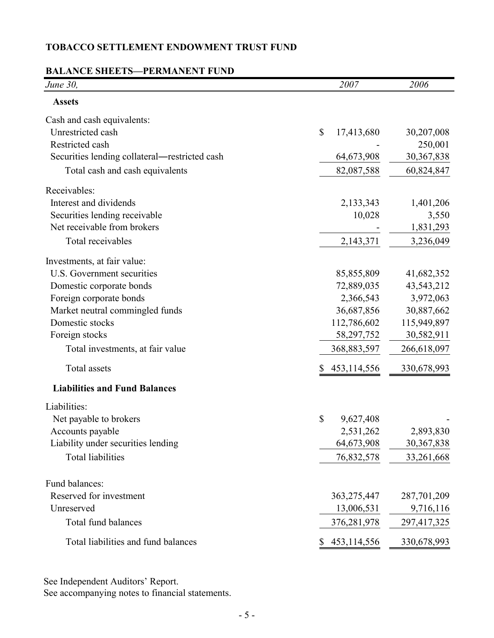# **BALANCE SHEETS—PERMANENT FUND**

| June 30,                                      | 2007              | 2006        |
|-----------------------------------------------|-------------------|-------------|
| <b>Assets</b>                                 |                   |             |
| Cash and cash equivalents:                    |                   |             |
| Unrestricted cash                             | \$<br>17,413,680  | 30,207,008  |
| Restricted cash                               |                   | 250,001     |
| Securities lending collateral—restricted cash | 64,673,908        | 30,367,838  |
| Total cash and cash equivalents               | 82,087,588        | 60,824,847  |
| Receivables:                                  |                   |             |
| Interest and dividends                        | 2,133,343         | 1,401,206   |
| Securities lending receivable                 | 10,028            | 3,550       |
| Net receivable from brokers                   |                   | 1,831,293   |
| Total receivables                             | 2,143,371         | 3,236,049   |
| Investments, at fair value:                   |                   |             |
| U.S. Government securities                    | 85,855,809        | 41,682,352  |
| Domestic corporate bonds                      | 72,889,035        | 43,543,212  |
| Foreign corporate bonds                       | 2,366,543         | 3,972,063   |
| Market neutral commingled funds               | 36,687,856        | 30,887,662  |
| Domestic stocks                               | 112,786,602       | 115,949,897 |
| Foreign stocks                                | 58,297,752        | 30,582,911  |
| Total investments, at fair value              | 368,883,597       | 266,618,097 |
| Total assets                                  | 453,114,556<br>\$ | 330,678,993 |
| <b>Liabilities and Fund Balances</b>          |                   |             |
| Liabilities:                                  |                   |             |
| Net payable to brokers                        | \$<br>9,627,408   |             |
| Accounts payable                              | 2,531,262         | 2,893,830   |
| Liability under securities lending            | 64,673,908        | 30,367,838  |
| <b>Total liabilities</b>                      | 76,832,578        | 33,261,668  |
| Fund balances:                                |                   |             |
| Reserved for investment                       | 363, 275, 447     | 287,701,209 |
| Unreserved                                    | 13,006,531        | 9,716,116   |
| Total fund balances                           | 376,281,978       | 297,417,325 |
| Total liabilities and fund balances           | 453,114,556<br>S. | 330,678,993 |

See Independent Auditors' Report.

See accompanying notes to financial statements.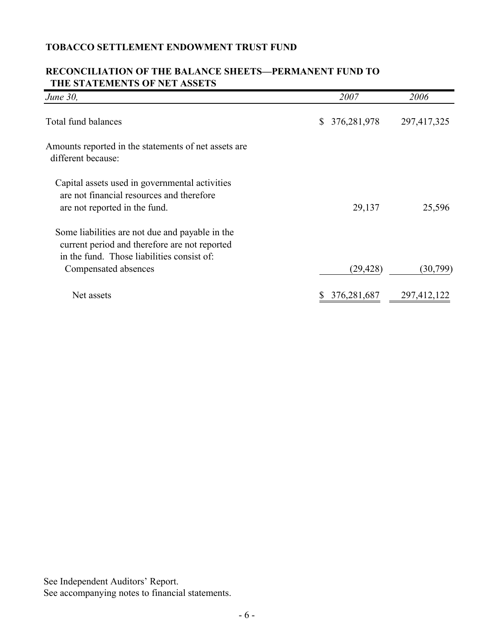# **RECONCILIATION OF THE BALANCE SHEETS—PERMANENT FUND TO THE STATEMENTS OF NET ASSETS**

| June 30,                                                                                                                                       | 2007              | 2006        |
|------------------------------------------------------------------------------------------------------------------------------------------------|-------------------|-------------|
| Total fund balances                                                                                                                            | 376,281,978<br>\$ | 297,417,325 |
| Amounts reported in the statements of net assets are<br>different because:                                                                     |                   |             |
| Capital assets used in governmental activities<br>are not financial resources and therefore<br>are not reported in the fund.                   | 29,137            | 25,596      |
| Some liabilities are not due and payable in the<br>current period and therefore are not reported<br>in the fund. Those liabilities consist of: |                   |             |
| Compensated absences                                                                                                                           | (29, 428)         | (30, 799)   |
| Net assets                                                                                                                                     | 376, 281, 687     | 297,412,122 |

See Independent Auditors' Report. See accompanying notes to financial statements.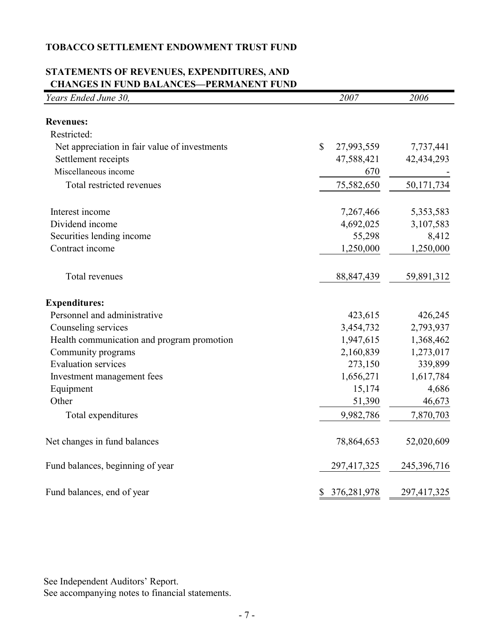# **STATEMENTS OF REVENUES, EXPENDITURES, AND CHANGES IN FUND BALANCES—PERMANENT FUND**

| Years Ended June 30,                          | 2007              | 2006        |
|-----------------------------------------------|-------------------|-------------|
| <b>Revenues:</b>                              |                   |             |
| Restricted:                                   |                   |             |
| Net appreciation in fair value of investments | \$<br>27,993,559  | 7,737,441   |
| Settlement receipts                           | 47,588,421        | 42,434,293  |
| Miscellaneous income                          | 670               |             |
|                                               |                   |             |
| Total restricted revenues                     | 75,582,650        | 50,171,734  |
| Interest income                               | 7,267,466         | 5,353,583   |
| Dividend income                               | 4,692,025         | 3,107,583   |
| Securities lending income                     | 55,298            | 8,412       |
| Contract income                               | 1,250,000         | 1,250,000   |
| Total revenues                                | 88, 847, 439      | 59,891,312  |
| <b>Expenditures:</b>                          |                   |             |
| Personnel and administrative                  | 423,615           | 426,245     |
| Counseling services                           | 3,454,732         | 2,793,937   |
| Health communication and program promotion    | 1,947,615         | 1,368,462   |
| Community programs                            | 2,160,839         | 1,273,017   |
| <b>Evaluation services</b>                    | 273,150           | 339,899     |
| Investment management fees                    | 1,656,271         | 1,617,784   |
| Equipment                                     | 15,174            | 4,686       |
| Other                                         | 51,390            | 46,673      |
| Total expenditures                            | 9,982,786         | 7,870,703   |
| Net changes in fund balances                  | 78,864,653        | 52,020,609  |
| Fund balances, beginning of year              | 297,417,325       | 245,396,716 |
| Fund balances, end of year                    | 376,281,978<br>\$ | 297,417,325 |

See Independent Auditors' Report.

See accompanying notes to financial statements.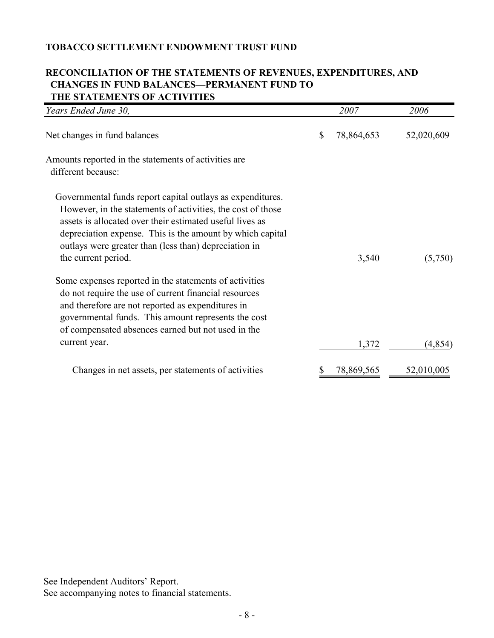# **RECONCILIATION OF THE STATEMENTS OF REVENUES, EXPENDITURES, AND CHANGES IN FUND BALANCES—PERMANENT FUND TO THE STATEMENTS OF ACTIVITIES**

| Years Ended June 30,                                                                                                                                                                                                                                                                                                               | 2007             | 2006       |
|------------------------------------------------------------------------------------------------------------------------------------------------------------------------------------------------------------------------------------------------------------------------------------------------------------------------------------|------------------|------------|
| Net changes in fund balances                                                                                                                                                                                                                                                                                                       | \$<br>78,864,653 | 52,020,609 |
| Amounts reported in the statements of activities are<br>different because:                                                                                                                                                                                                                                                         |                  |            |
| Governmental funds report capital outlays as expenditures.<br>However, in the statements of activities, the cost of those<br>assets is allocated over their estimated useful lives as<br>depreciation expense. This is the amount by which capital<br>outlays were greater than (less than) depreciation in<br>the current period. | 3,540            | (5,750)    |
| Some expenses reported in the statements of activities<br>do not require the use of current financial resources<br>and therefore are not reported as expenditures in<br>governmental funds. This amount represents the cost<br>of compensated absences earned but not used in the                                                  |                  |            |
| current year.                                                                                                                                                                                                                                                                                                                      | 1,372            | (4,854)    |
| Changes in net assets, per statements of activities                                                                                                                                                                                                                                                                                | 78,869,565       | 52,010,005 |

See Independent Auditors' Report. See accompanying notes to financial statements.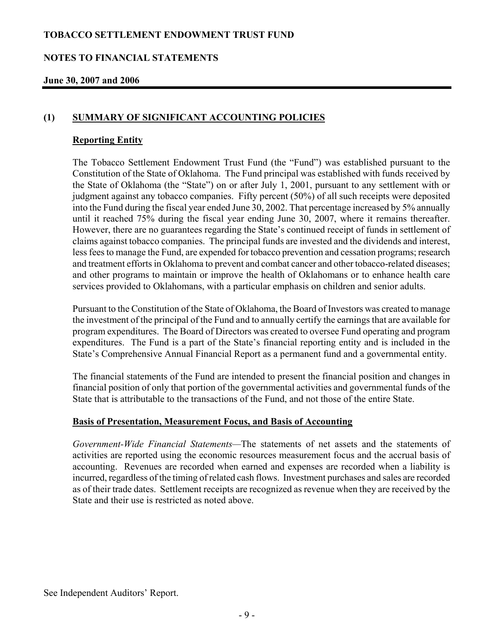# **NOTES TO FINANCIAL STATEMENTS**

#### **June 30, 2007 and 2006**

## **(1) SUMMARY OF SIGNIFICANT ACCOUNTING POLICIES**

#### **Reporting Entity**

The Tobacco Settlement Endowment Trust Fund (the "Fund") was established pursuant to the Constitution of the State of Oklahoma. The Fund principal was established with funds received by the State of Oklahoma (the "State") on or after July 1, 2001, pursuant to any settlement with or judgment against any tobacco companies. Fifty percent (50%) of all such receipts were deposited into the Fund during the fiscal year ended June 30, 2002. That percentage increased by 5% annually until it reached 75% during the fiscal year ending June 30, 2007, where it remains thereafter. However, there are no guarantees regarding the State's continued receipt of funds in settlement of claims against tobacco companies. The principal funds are invested and the dividends and interest, less fees to manage the Fund, are expended for tobacco prevention and cessation programs; research and treatment efforts in Oklahoma to prevent and combat cancer and other tobacco-related diseases; and other programs to maintain or improve the health of Oklahomans or to enhance health care services provided to Oklahomans, with a particular emphasis on children and senior adults.

Pursuant to the Constitution of the State of Oklahoma, the Board of Investors was created to manage the investment of the principal of the Fund and to annually certify the earnings that are available for program expenditures. The Board of Directors was created to oversee Fund operating and program expenditures. The Fund is a part of the State's financial reporting entity and is included in the State's Comprehensive Annual Financial Report as a permanent fund and a governmental entity.

The financial statements of the Fund are intended to present the financial position and changes in financial position of only that portion of the governmental activities and governmental funds of the State that is attributable to the transactions of the Fund, and not those of the entire State.

## **Basis of Presentation, Measurement Focus, and Basis of Accounting**

*Government-Wide Financial Statements—*The statements of net assets and the statements of activities are reported using the economic resources measurement focus and the accrual basis of accounting. Revenues are recorded when earned and expenses are recorded when a liability is incurred, regardless of the timing of related cash flows. Investment purchases and sales are recorded as of their trade dates. Settlement receipts are recognized as revenue when they are received by the State and their use is restricted as noted above.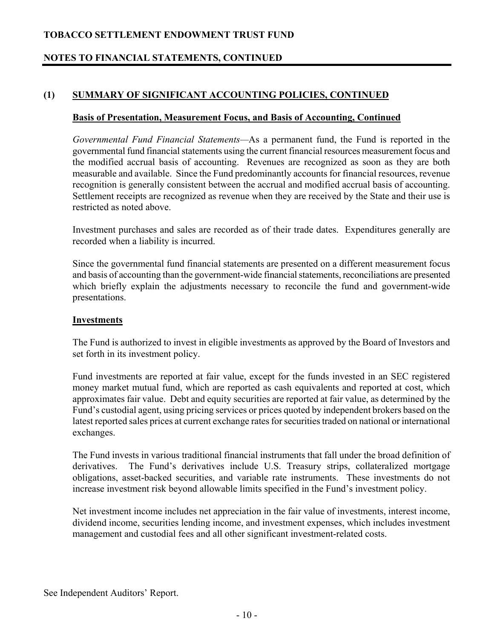# **NOTES TO FINANCIAL STATEMENTS, CONTINUED**

# **(1) SUMMARY OF SIGNIFICANT ACCOUNTING POLICIES, CONTINUED**

#### **Basis of Presentation, Measurement Focus, and Basis of Accounting, Continued**

*Governmental Fund Financial Statements—*As a permanent fund, the Fund is reported in the governmental fund financial statements using the current financial resources measurement focus and the modified accrual basis of accounting. Revenues are recognized as soon as they are both measurable and available. Since the Fund predominantly accounts for financial resources, revenue recognition is generally consistent between the accrual and modified accrual basis of accounting. Settlement receipts are recognized as revenue when they are received by the State and their use is restricted as noted above.

Investment purchases and sales are recorded as of their trade dates. Expenditures generally are recorded when a liability is incurred.

Since the governmental fund financial statements are presented on a different measurement focus and basis of accounting than the government-wide financial statements, reconciliations are presented which briefly explain the adjustments necessary to reconcile the fund and government-wide presentations.

#### **Investments**

The Fund is authorized to invest in eligible investments as approved by the Board of Investors and set forth in its investment policy.

Fund investments are reported at fair value, except for the funds invested in an SEC registered money market mutual fund, which are reported as cash equivalents and reported at cost, which approximates fair value. Debt and equity securities are reported at fair value, as determined by the Fund's custodial agent, using pricing services or prices quoted by independent brokers based on the latest reported sales prices at current exchange rates for securities traded on national or international exchanges.

The Fund invests in various traditional financial instruments that fall under the broad definition of derivatives. The Fund's derivatives include U.S. Treasury strips, collateralized mortgage obligations, asset-backed securities, and variable rate instruments. These investments do not increase investment risk beyond allowable limits specified in the Fund's investment policy.

Net investment income includes net appreciation in the fair value of investments, interest income, dividend income, securities lending income, and investment expenses, which includes investment management and custodial fees and all other significant investment-related costs.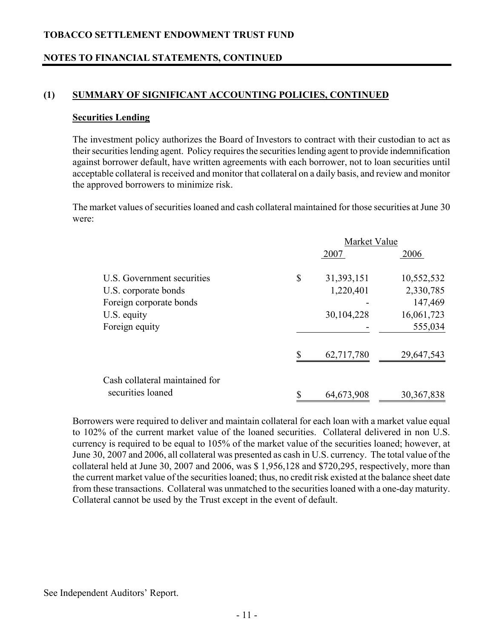# **NOTES TO FINANCIAL STATEMENTS, CONTINUED**

# **(1) SUMMARY OF SIGNIFICANT ACCOUNTING POLICIES, CONTINUED**

#### **Securities Lending**

The investment policy authorizes the Board of Investors to contract with their custodian to act as their securities lending agent. Policy requires the securities lending agent to provide indemnification against borrower default, have written agreements with each borrower, not to loan securities until acceptable collateral is received and monitor that collateral on a daily basis, and review and monitor the approved borrowers to minimize risk.

The market values of securities loaned and cash collateral maintained for those securities at June 30 were:

|                                                     | Market Value |            |              |
|-----------------------------------------------------|--------------|------------|--------------|
|                                                     |              | 2007       | 2006         |
| U.S. Government securities                          | \$           | 31,393,151 | 10,552,532   |
| U.S. corporate bonds                                |              | 1,220,401  | 2,330,785    |
| Foreign corporate bonds                             |              |            | 147,469      |
| U.S. equity                                         |              | 30,104,228 | 16,061,723   |
| Foreign equity                                      |              |            | 555,034      |
|                                                     | \$.          | 62,717,780 | 29,647,543   |
| Cash collateral maintained for<br>securities loaned | \$           | 64,673,908 | 30, 367, 838 |

Borrowers were required to deliver and maintain collateral for each loan with a market value equal to 102% of the current market value of the loaned securities. Collateral delivered in non U.S. currency is required to be equal to 105% of the market value of the securities loaned; however, at June 30, 2007 and 2006, all collateral was presented as cash in U.S. currency. The total value of the collateral held at June 30, 2007 and 2006, was \$ 1,956,128 and \$720,295, respectively, more than the current market value of the securities loaned; thus, no credit risk existed at the balance sheet date from these transactions. Collateral was unmatched to the securities loaned with a one-day maturity. Collateral cannot be used by the Trust except in the event of default.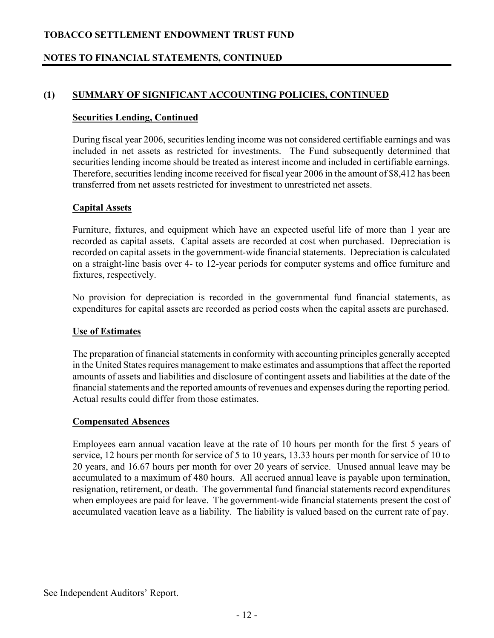# **NOTES TO FINANCIAL STATEMENTS, CONTINUED**

# **(1) SUMMARY OF SIGNIFICANT ACCOUNTING POLICIES, CONTINUED**

#### **Securities Lending, Continued**

During fiscal year 2006, securities lending income was not considered certifiable earnings and was included in net assets as restricted for investments. The Fund subsequently determined that securities lending income should be treated as interest income and included in certifiable earnings. Therefore, securities lending income received for fiscal year 2006 in the amount of \$8,412 has been transferred from net assets restricted for investment to unrestricted net assets.

#### **Capital Assets**

Furniture, fixtures, and equipment which have an expected useful life of more than 1 year are recorded as capital assets. Capital assets are recorded at cost when purchased. Depreciation is recorded on capital assets in the government-wide financial statements. Depreciation is calculated on a straight-line basis over 4- to 12-year periods for computer systems and office furniture and fixtures, respectively.

No provision for depreciation is recorded in the governmental fund financial statements, as expenditures for capital assets are recorded as period costs when the capital assets are purchased.

#### **Use of Estimates**

The preparation of financial statements in conformity with accounting principles generally accepted in the United States requires management to make estimates and assumptions that affect the reported amounts of assets and liabilities and disclosure of contingent assets and liabilities at the date of the financial statements and the reported amounts of revenues and expenses during the reporting period. Actual results could differ from those estimates.

## **Compensated Absences**

Employees earn annual vacation leave at the rate of 10 hours per month for the first 5 years of service, 12 hours per month for service of 5 to 10 years, 13.33 hours per month for service of 10 to 20 years, and 16.67 hours per month for over 20 years of service. Unused annual leave may be accumulated to a maximum of 480 hours. All accrued annual leave is payable upon termination, resignation, retirement, or death. The governmental fund financial statements record expenditures when employees are paid for leave. The government-wide financial statements present the cost of accumulated vacation leave as a liability. The liability is valued based on the current rate of pay.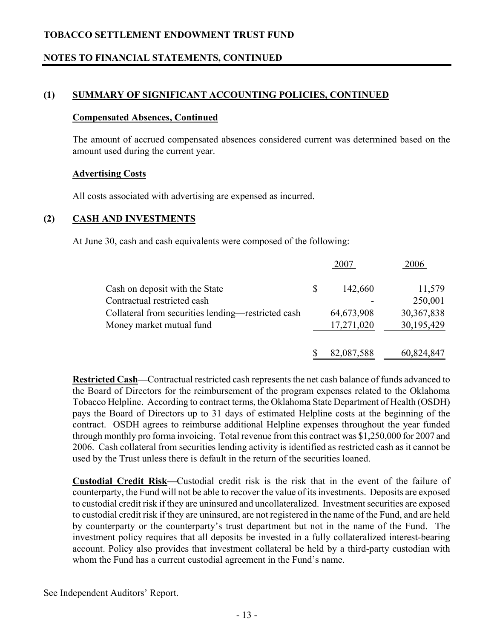# **NOTES TO FINANCIAL STATEMENTS, CONTINUED**

#### **(1) SUMMARY OF SIGNIFICANT ACCOUNTING POLICIES, CONTINUED**

#### **Compensated Absences, Continued**

The amount of accrued compensated absences considered current was determined based on the amount used during the current year.

#### **Advertising Costs**

All costs associated with advertising are expensed as incurred.

#### **(2) CASH AND INVESTMENTS**

At June 30, cash and cash equivalents were composed of the following:

|                                                    |   | 2007       | 2006         |
|----------------------------------------------------|---|------------|--------------|
| Cash on deposit with the State                     | S | 142,660    | 11,579       |
| Contractual restricted cash                        |   |            | 250,001      |
| Collateral from securities lending—restricted cash |   | 64,673,908 | 30, 367, 838 |
| Money market mutual fund                           |   | 17,271,020 | 30,195,429   |
|                                                    |   | 82,087,588 | 60,824,847   |

**Restricted Cash—**Contractual restricted cash represents the net cash balance of funds advanced to the Board of Directors for the reimbursement of the program expenses related to the Oklahoma Tobacco Helpline. According to contract terms, the Oklahoma State Department of Health (OSDH) pays the Board of Directors up to 31 days of estimated Helpline costs at the beginning of the contract. OSDH agrees to reimburse additional Helpline expenses throughout the year funded through monthly pro forma invoicing. Total revenue from this contract was \$1,250,000 for 2007 and 2006. Cash collateral from securities lending activity is identified as restricted cash as it cannot be used by the Trust unless there is default in the return of the securities loaned.

**Custodial Credit Risk—**Custodial credit risk is the risk that in the event of the failure of counterparty, the Fund will not be able to recover the value of its investments. Deposits are exposed to custodial credit risk if they are uninsured and uncollateralized. Investment securities are exposed to custodial credit risk if they are uninsured, are not registered in the name of the Fund, and are held by counterparty or the counterparty's trust department but not in the name of the Fund. The investment policy requires that all deposits be invested in a fully collateralized interest-bearing account. Policy also provides that investment collateral be held by a third-party custodian with whom the Fund has a current custodial agreement in the Fund's name.

See Independent Auditors' Report.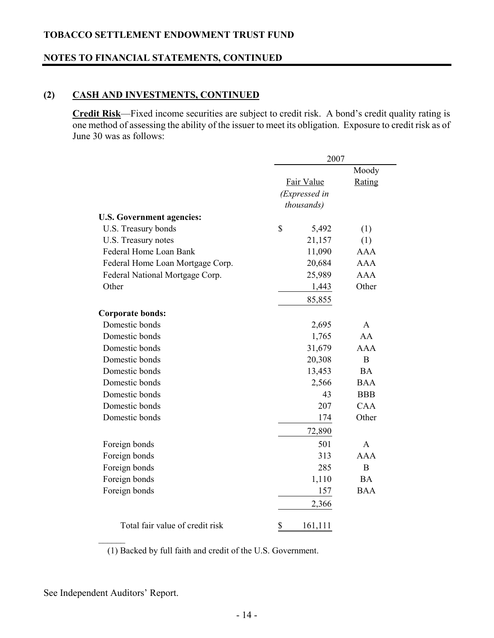# **NOTES TO FINANCIAL STATEMENTS, CONTINUED**

# **(2) CASH AND INVESTMENTS, CONTINUED**

**Credit Risk**—Fixed income securities are subject to credit risk. A bond's credit quality rating is one method of assessing the ability of the issuer to meet its obligation. Exposure to credit risk as of June 30 was as follows:

|                                  | 2007          |            |
|----------------------------------|---------------|------------|
|                                  |               | Moody      |
|                                  | Fair Value    | Rating     |
|                                  | (Expressed in |            |
|                                  | thousands)    |            |
| <b>U.S. Government agencies:</b> |               |            |
| U.S. Treasury bonds              | \$<br>5,492   | (1)        |
| U.S. Treasury notes              | 21,157        | (1)        |
| Federal Home Loan Bank           | 11,090        | <b>AAA</b> |
| Federal Home Loan Mortgage Corp. | 20,684        | <b>AAA</b> |
| Federal National Mortgage Corp.  | 25,989        | <b>AAA</b> |
| Other                            | 1,443         | Other      |
|                                  | 85,855        |            |
| <b>Corporate bonds:</b>          |               |            |
| Domestic bonds                   | 2,695         | A          |
| Domestic bonds                   | 1,765         | AA         |
| Domestic bonds                   | 31,679        | <b>AAA</b> |
| Domestic bonds                   | 20,308        | B          |
| Domestic bonds                   | 13,453        | <b>BA</b>  |
| Domestic bonds                   | 2,566         | <b>BAA</b> |
| Domestic bonds                   | 43            | <b>BBB</b> |
| Domestic bonds                   | 207           | CAA        |
| Domestic bonds                   | 174           | Other      |
|                                  | 72,890        |            |
| Foreign bonds                    | 501           | A          |
| Foreign bonds                    | 313           | <b>AAA</b> |
| Foreign bonds                    | 285           | B          |
| Foreign bonds                    | 1,110         | <b>BA</b>  |
| Foreign bonds                    | 157           | <b>BAA</b> |
|                                  | 2,366         |            |
| Total fair value of credit risk  | \$<br>161,111 |            |
|                                  |               |            |

(1) Backed by full faith and credit of the U.S. Government.

 $\frac{1}{2}$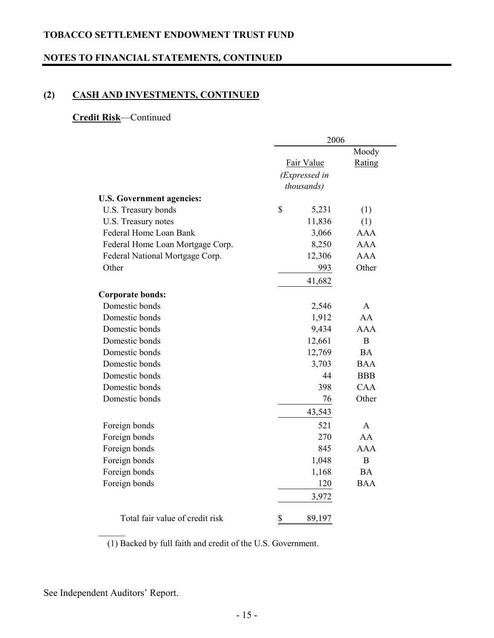# **NOTES TO FINANCIAL STATEMENTS, CONTINUED**

# **(2) CASH AND INVESTMENTS, CONTINUED**

# **Credit Risk**—Continued

|                                  | 2006 |               |                |
|----------------------------------|------|---------------|----------------|
|                                  |      |               | Moody          |
|                                  |      | Fair Value    | Rating         |
|                                  |      | (Expressed in |                |
|                                  |      | thousands)    |                |
| <b>U.S. Government agencies:</b> |      |               |                |
| U.S. Treasury bonds              | \$   | 5,231         | (1)            |
| U.S. Treasury notes              |      | 11,836        | (1)            |
| Federal Home Loan Bank           |      | 3,066         | <b>AAA</b>     |
| Federal Home Loan Mortgage Corp. |      | 8,250         | <b>AAA</b>     |
| Federal National Mortgage Corp.  |      | 12,306        | <b>AAA</b>     |
| Other                            |      | 993           | Other          |
|                                  |      | 41,682        |                |
| <b>Corporate bonds:</b>          |      |               |                |
| Domestic bonds                   |      | 2,546         | A              |
| Domestic bonds                   |      | 1,912         | AA             |
| Domestic bonds                   |      | 9,434         | <b>AAA</b>     |
| Domestic bonds                   |      | 12,661        | $\overline{B}$ |
| Domestic bonds                   |      | 12,769        | <b>BA</b>      |
| Domestic bonds                   |      | 3,703         | <b>BAA</b>     |
| Domestic bonds                   |      | 44            | <b>BBB</b>     |
| Domestic bonds                   |      | 398           | CAA            |
| Domestic bonds                   |      | 76            | Other          |
|                                  |      | 43,543        |                |
| Foreign bonds                    |      | 521           | A              |
| Foreign bonds                    |      | 270           | AA             |
| Foreign bonds                    |      | 845           | <b>AAA</b>     |
| Foreign bonds                    |      | 1,048         | B              |
| Foreign bonds                    |      | 1,168         | <b>BA</b>      |
| Foreign bonds                    |      | 120           | <b>BAA</b>     |
|                                  |      | 3,972         |                |
| Total fair value of credit risk  | \$   | 89,197        |                |

(1) Backed by full faith and credit of the U.S. Government.

 $\mathcal{L}_\text{max}$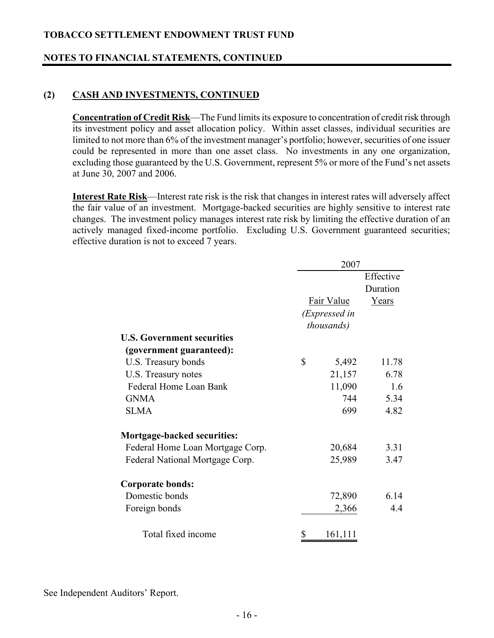# **NOTES TO FINANCIAL STATEMENTS, CONTINUED**

# **(2) CASH AND INVESTMENTS, CONTINUED**

**Concentration of Credit Risk**—The Fund limits its exposure to concentration of credit risk through its investment policy and asset allocation policy. Within asset classes, individual securities are limited to not more than 6% of the investment manager's portfolio; however, securities of one issuer could be represented in more than one asset class. No investments in any one organization, excluding those guaranteed by the U.S. Government, represent 5% or more of the Fund's net assets at June 30, 2007 and 2006.

**Interest Rate Risk**—Interest rate risk is the risk that changes in interest rates will adversely affect the fair value of an investment. Mortgage-backed securities are highly sensitive to interest rate changes. The investment policy manages interest rate risk by limiting the effective duration of an actively managed fixed-income portfolio. Excluding U.S. Government guaranteed securities; effective duration is not to exceed 7 years.

|                                   | 2007 |                    |           |
|-----------------------------------|------|--------------------|-----------|
|                                   |      |                    | Effective |
|                                   |      |                    | Duration  |
|                                   |      | Fair Value         | Years     |
|                                   |      | (Expressed in      |           |
|                                   |      | <i>thousands</i> ) |           |
| <b>U.S. Government securities</b> |      |                    |           |
| (government guaranteed):          |      |                    |           |
| U.S. Treasury bonds               | \$   | 5,492              | 11.78     |
| U.S. Treasury notes               |      | 21,157             | 6.78      |
| Federal Home Loan Bank            |      | 11,090             | 1.6       |
| <b>GNMA</b>                       |      | 744                | 5.34      |
| <b>SLMA</b>                       |      | 699                | 4.82      |
| Mortgage-backed securities:       |      |                    |           |
| Federal Home Loan Mortgage Corp.  |      | 20,684             | 3.31      |
| Federal National Mortgage Corp.   |      | 25,989             | 3.47      |
| <b>Corporate bonds:</b>           |      |                    |           |
| Domestic bonds                    |      | 72,890             | 6.14      |
| Foreign bonds                     |      | 2,366              | 4.4       |
| Total fixed income                | \$   | 161,111            |           |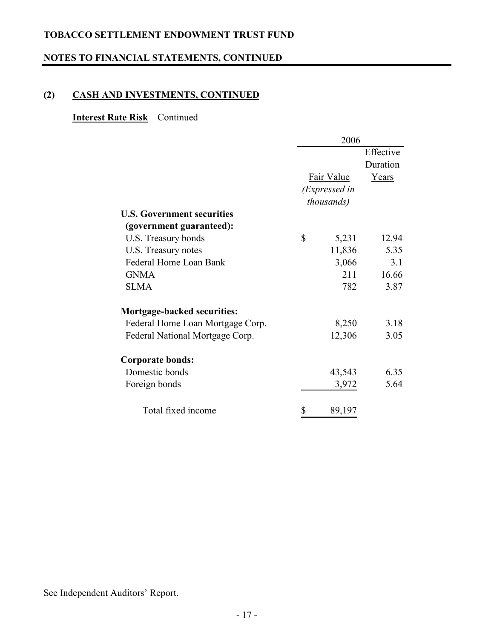# **NOTES TO FINANCIAL STATEMENTS, CONTINUED**

# **(2) CASH AND INVESTMENTS, CONTINUED**

# **Interest Rate Risk**—Continued

|                                    | 2006 |                    |           |
|------------------------------------|------|--------------------|-----------|
|                                    |      |                    | Effective |
|                                    |      |                    | Duration  |
|                                    |      | Fair Value         | Years     |
|                                    |      | (Expressed in      |           |
|                                    |      | <i>thousands</i> ) |           |
| <b>U.S. Government securities</b>  |      |                    |           |
| (government guaranteed):           |      |                    |           |
| U.S. Treasury bonds                | \$   | 5,231              | 12.94     |
| U.S. Treasury notes                |      | 11,836             | 5.35      |
| Federal Home Loan Bank             |      | 3,066              | 3.1       |
| <b>GNMA</b>                        |      | 211                | 16.66     |
| <b>SLMA</b>                        |      | 782                | 3.87      |
| <b>Mortgage-backed securities:</b> |      |                    |           |
| Federal Home Loan Mortgage Corp.   |      | 8,250              | 3.18      |
| Federal National Mortgage Corp.    |      | 12,306             | 3.05      |
| <b>Corporate bonds:</b>            |      |                    |           |
| Domestic bonds                     |      | 43,543             | 6.35      |
| Foreign bonds                      |      | 3,972              | 5.64      |
| Total fixed income                 | \$   | 89,197             |           |

See Independent Auditors' Report.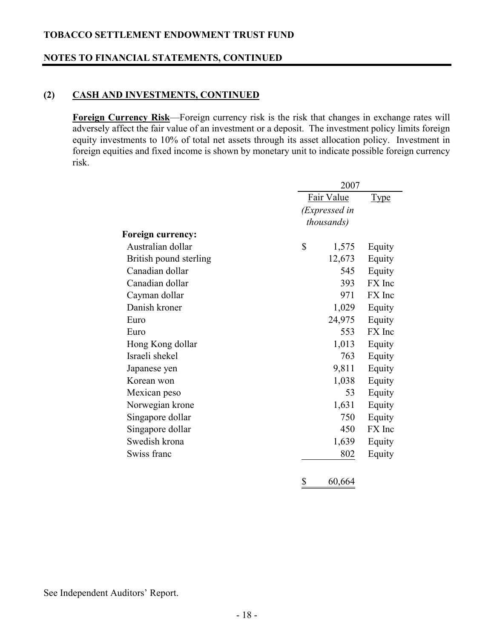## **NOTES TO FINANCIAL STATEMENTS, CONTINUED**

# **(2) CASH AND INVESTMENTS, CONTINUED**

**Foreign Currency Risk**—Foreign currency risk is the risk that changes in exchange rates will adversely affect the fair value of an investment or a deposit. The investment policy limits foreign equity investments to 10% of total net assets through its asset allocation policy. Investment in foreign equities and fixed income is shown by monetary unit to indicate possible foreign currency risk.

|                        | 2007 |               |             |
|------------------------|------|---------------|-------------|
|                        |      | Fair Value    | <b>Type</b> |
|                        |      | (Expressed in |             |
|                        |      | thousands)    |             |
| Foreign currency:      |      |               |             |
| Australian dollar      | \$   | 1,575         | Equity      |
| British pound sterling |      | 12,673        | Equity      |
| Canadian dollar        |      | 545           | Equity      |
| Canadian dollar        |      | 393           | FX Inc      |
| Cayman dollar          |      | 971           | FX Inc      |
| Danish kroner          |      | 1,029         | Equity      |
| Euro                   |      | 24,975        | Equity      |
| Euro                   |      | 553           | FX Inc      |
| Hong Kong dollar       |      | 1,013         | Equity      |
| Israeli shekel         |      | 763           | Equity      |
| Japanese yen           |      | 9,811         | Equity      |
| Korean won             |      | 1,038         | Equity      |
| Mexican peso           |      | 53            | Equity      |
| Norwegian krone        |      | 1,631         | Equity      |
| Singapore dollar       |      | 750           | Equity      |
| Singapore dollar       |      | 450           | FX Inc      |
| Swedish krona          |      | 1,639         | Equity      |
| Swiss franc            |      | 802           | Equity      |
|                        | \$   | 60,664        |             |

#### See Independent Auditors' Report.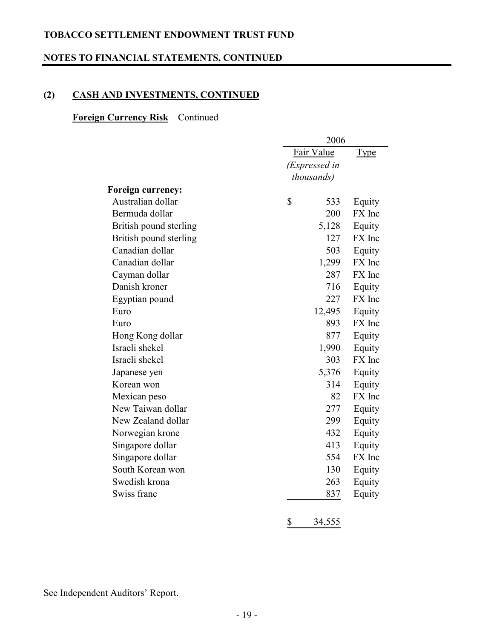# **NOTES TO FINANCIAL STATEMENTS, CONTINUED**

# **(2) CASH AND INVESTMENTS, CONTINUED**

# **Foreign Currency Risk**—Continued

|                          | 2006 |               |             |
|--------------------------|------|---------------|-------------|
|                          |      | Fair Value    | <b>Type</b> |
|                          |      | (Expressed in |             |
|                          |      | thousands)    |             |
| <b>Foreign currency:</b> |      |               |             |
| Australian dollar        | \$   | 533           | Equity      |
| Bermuda dollar           |      | 200           | FX Inc      |
| British pound sterling   |      | 5,128         | Equity      |
| British pound sterling   |      | 127           | FX Inc      |
| Canadian dollar          |      | 503           | Equity      |
| Canadian dollar          |      | 1,299         | FX Inc      |
| Cayman dollar            |      | 287           | FX Inc      |
| Danish kroner            |      | 716           | Equity      |
| Egyptian pound           |      | 227           | FX Inc      |
| Euro                     |      | 12,495        | Equity      |
| Euro                     |      | 893           | FX Inc      |
| Hong Kong dollar         |      | 877           | Equity      |
| Israeli shekel           |      | 1,990         | Equity      |
| Israeli shekel           |      | 303           | FX Inc      |
| Japanese yen             |      | 5,376         | Equity      |
| Korean won               |      | 314           | Equity      |
| Mexican peso             |      | 82            | FX Inc      |
| New Taiwan dollar        |      | 277           | Equity      |
| New Zealand dollar       |      | 299           | Equity      |
| Norwegian krone          |      | 432           | Equity      |
| Singapore dollar         |      | 413           | Equity      |
| Singapore dollar         |      | 554           | FX Inc      |
| South Korean won         |      | 130           | Equity      |
| Swedish krona            |      | 263           | Equity      |
| Swiss franc              |      | 837           | Equity      |

\$ 34,555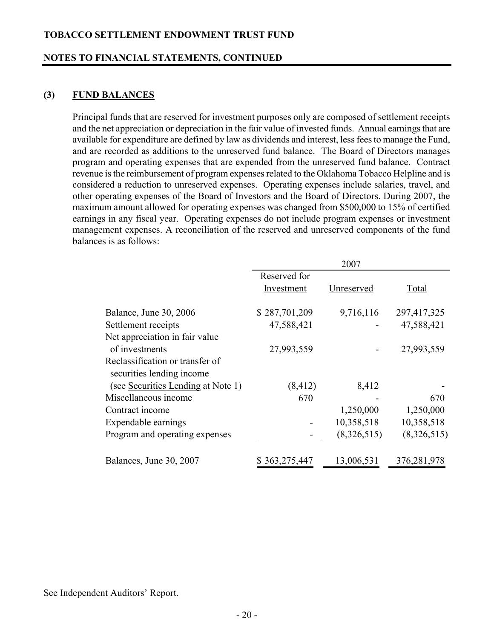#### **NOTES TO FINANCIAL STATEMENTS, CONTINUED**

#### **(3) FUND BALANCES**

Principal funds that are reserved for investment purposes only are composed of settlement receipts and the net appreciation or depreciation in the fair value of invested funds. Annual earnings that are available for expenditure are defined by law as dividends and interest, less fees to manage the Fund, and are recorded as additions to the unreserved fund balance. The Board of Directors manages program and operating expenses that are expended from the unreserved fund balance. Contract revenue is the reimbursement of program expenses related to the Oklahoma Tobacco Helpline and is considered a reduction to unreserved expenses. Operating expenses include salaries, travel, and other operating expenses of the Board of Investors and the Board of Directors. During 2007, the maximum amount allowed for operating expenses was changed from \$500,000 to 15% of certified earnings in any fiscal year. Operating expenses do not include program expenses or investment management expenses. A reconciliation of the reserved and unreserved components of the fund balances is as follows:

|                                                              |               | 2007        |             |
|--------------------------------------------------------------|---------------|-------------|-------------|
|                                                              | Reserved for  |             |             |
|                                                              | Investment    | Unreserved  | Total       |
| Balance, June 30, 2006                                       | \$287,701,209 | 9,716,116   | 297,417,325 |
| Settlement receipts                                          | 47,588,421    |             | 47,588,421  |
| Net appreciation in fair value                               |               |             |             |
| of investments                                               | 27,993,559    |             | 27,993,559  |
| Reclassification or transfer of<br>securities lending income |               |             |             |
| (see Securities Lending at Note 1)                           | (8, 412)      | 8,412       |             |
| Miscellaneous income                                         | 670           |             | 670         |
| Contract income                                              |               | 1,250,000   | 1,250,000   |
| Expendable earnings                                          |               | 10,358,518  | 10,358,518  |
| Program and operating expenses                               |               | (8,326,515) | (8,326,515) |
| Balances, June 30, 2007                                      | \$363,275,447 | 13,006,531  | 376,281,978 |

See Independent Auditors' Report.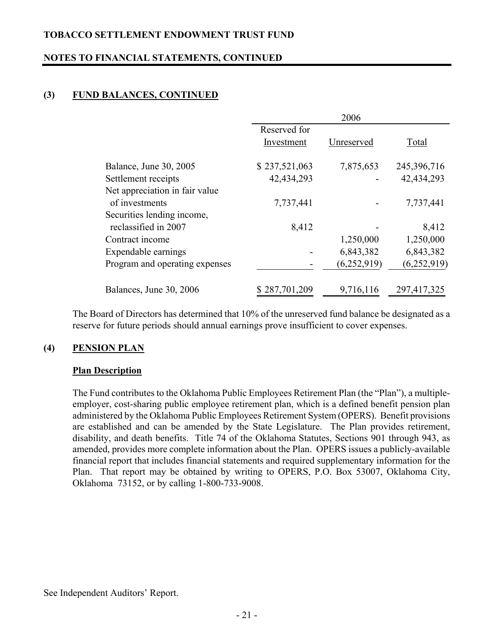# **NOTES TO FINANCIAL STATEMENTS, CONTINUED**

# **(3) FUND BALANCES, CONTINUED**

|                                                    |               | 2006        |             |
|----------------------------------------------------|---------------|-------------|-------------|
|                                                    | Reserved for  |             |             |
|                                                    | Investment    | Unreserved  | Total       |
| Balance, June 30, 2005                             | \$237,521,063 | 7,875,653   | 245,396,716 |
| Settlement receipts                                | 42,434,293    |             | 42,434,293  |
| Net appreciation in fair value<br>of investments   | 7,737,441     |             | 7,737,441   |
| Securities lending income,<br>reclassified in 2007 | 8,412         |             | 8,412       |
| Contract income                                    |               | 1,250,000   | 1,250,000   |
| Expendable earnings                                |               | 6,843,382   | 6,843,382   |
| Program and operating expenses                     |               | (6,252,919) | (6,252,919) |
| Balances, June 30, 2006                            | \$287,701,209 | 9,716,116   | 297,417,325 |

The Board of Directors has determined that 10% of the unreserved fund balance be designated as a reserve for future periods should annual earnings prove insufficient to cover expenses.

## **(4) PENSION PLAN**

#### **Plan Description**

The Fund contributes to the Oklahoma Public Employees Retirement Plan (the "Plan"), a multipleemployer, cost-sharing public employee retirement plan, which is a defined benefit pension plan administered by the Oklahoma Public Employees Retirement System (OPERS). Benefit provisions are established and can be amended by the State Legislature. The Plan provides retirement, disability, and death benefits. Title 74 of the Oklahoma Statutes, Sections 901 through 943, as amended, provides more complete information about the Plan. OPERS issues a publicly-available financial report that includes financial statements and required supplementary information for the Plan. That report may be obtained by writing to OPERS, P.O. Box 53007, Oklahoma City, Oklahoma 73152, or by calling 1-800-733-9008.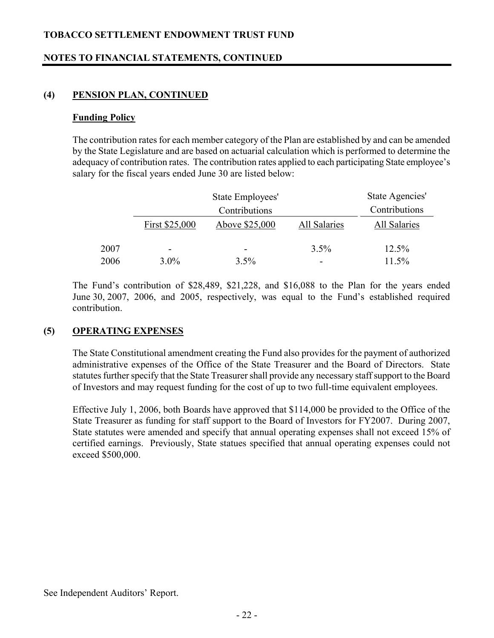# **NOTES TO FINANCIAL STATEMENTS, CONTINUED**

## **(4) PENSION PLAN, CONTINUED**

#### **Funding Policy**

The contribution rates for each member category of the Plan are established by and can be amended by the State Legislature and are based on actuarial calculation which is performed to determine the adequacy of contribution rates. The contribution rates applied to each participating State employee's salary for the fiscal years ended June 30 are listed below:

|      |                | State Employees' |              | State Agencies' |
|------|----------------|------------------|--------------|-----------------|
|      |                | Contributions    |              | Contributions   |
|      | First \$25,000 | Above \$25,000   | All Salaries | All Salaries    |
| 2007 | -              | -                | 3.5%         | 12.5%           |
| 2006 | $3.0\%$        | $3.5\%$          | -            | 11.5%           |

The Fund's contribution of \$28,489, \$21,228, and \$16,088 to the Plan for the years ended June 30, 2007, 2006, and 2005, respectively, was equal to the Fund's established required contribution.

## **(5) OPERATING EXPENSES**

The State Constitutional amendment creating the Fund also provides for the payment of authorized administrative expenses of the Office of the State Treasurer and the Board of Directors. State statutes further specify that the State Treasurer shall provide any necessary staff support to the Board of Investors and may request funding for the cost of up to two full-time equivalent employees.

Effective July 1, 2006, both Boards have approved that \$114,000 be provided to the Office of the State Treasurer as funding for staff support to the Board of Investors for FY2007. During 2007, State statutes were amended and specify that annual operating expenses shall not exceed 15% of certified earnings. Previously, State statues specified that annual operating expenses could not exceed \$500,000.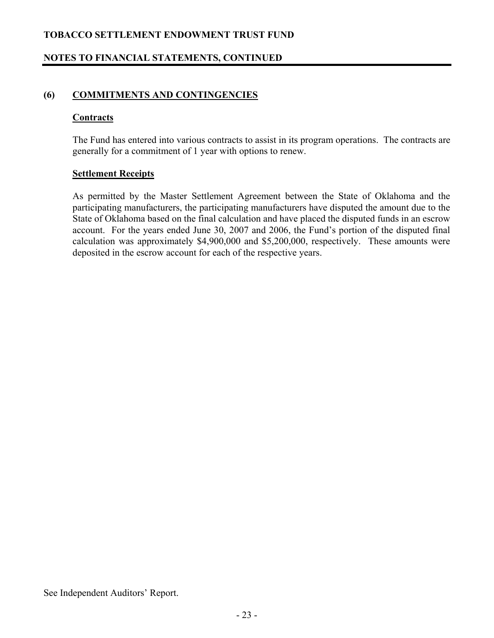# **NOTES TO FINANCIAL STATEMENTS, CONTINUED**

# **(6) COMMITMENTS AND CONTINGENCIES**

#### **Contracts**

The Fund has entered into various contracts to assist in its program operations. The contracts are generally for a commitment of 1 year with options to renew.

#### **Settlement Receipts**

As permitted by the Master Settlement Agreement between the State of Oklahoma and the participating manufacturers, the participating manufacturers have disputed the amount due to the State of Oklahoma based on the final calculation and have placed the disputed funds in an escrow account. For the years ended June 30, 2007 and 2006, the Fund's portion of the disputed final calculation was approximately \$4,900,000 and \$5,200,000, respectively. These amounts were deposited in the escrow account for each of the respective years.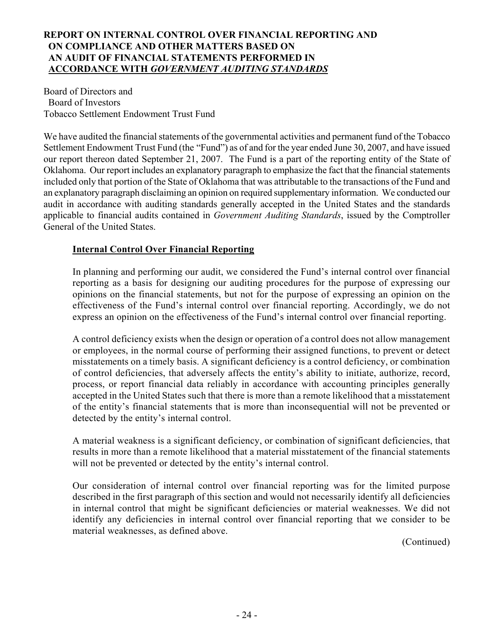#### **REPORT ON INTERNAL CONTROL OVER FINANCIAL REPORTING AND ON COMPLIANCE AND OTHER MATTERS BASED ON AN AUDIT OF FINANCIAL STATEMENTS PERFORMED IN ACCORDANCE WITH** *GOVERNMENT AUDITING STANDARDS*

Board of Directors and Board of Investors Tobacco Settlement Endowment Trust Fund

We have audited the financial statements of the governmental activities and permanent fund of the Tobacco Settlement Endowment Trust Fund (the "Fund") as of and for the year ended June 30, 2007, and have issued our report thereon dated September 21, 2007. The Fund is a part of the reporting entity of the State of Oklahoma. Our report includes an explanatory paragraph to emphasize the fact that the financial statements included only that portion of the State of Oklahoma that was attributable to the transactions of the Fund and an explanatory paragraph disclaiming an opinion on required supplementary information. We conducted our audit in accordance with auditing standards generally accepted in the United States and the standards applicable to financial audits contained in *Government Auditing Standards*, issued by the Comptroller General of the United States.

# **Internal Control Over Financial Reporting**

In planning and performing our audit, we considered the Fund's internal control over financial reporting as a basis for designing our auditing procedures for the purpose of expressing our opinions on the financial statements, but not for the purpose of expressing an opinion on the effectiveness of the Fund's internal control over financial reporting. Accordingly, we do not express an opinion on the effectiveness of the Fund's internal control over financial reporting.

A control deficiency exists when the design or operation of a control does not allow management or employees, in the normal course of performing their assigned functions, to prevent or detect misstatements on a timely basis. A significant deficiency is a control deficiency, or combination of control deficiencies, that adversely affects the entity's ability to initiate, authorize, record, process, or report financial data reliably in accordance with accounting principles generally accepted in the United States such that there is more than a remote likelihood that a misstatement of the entity's financial statements that is more than inconsequential will not be prevented or detected by the entity's internal control.

A material weakness is a significant deficiency, or combination of significant deficiencies, that results in more than a remote likelihood that a material misstatement of the financial statements will not be prevented or detected by the entity's internal control.

Our consideration of internal control over financial reporting was for the limited purpose described in the first paragraph of this section and would not necessarily identify all deficiencies in internal control that might be significant deficiencies or material weaknesses. We did not identify any deficiencies in internal control over financial reporting that we consider to be material weaknesses, as defined above.

(Continued)